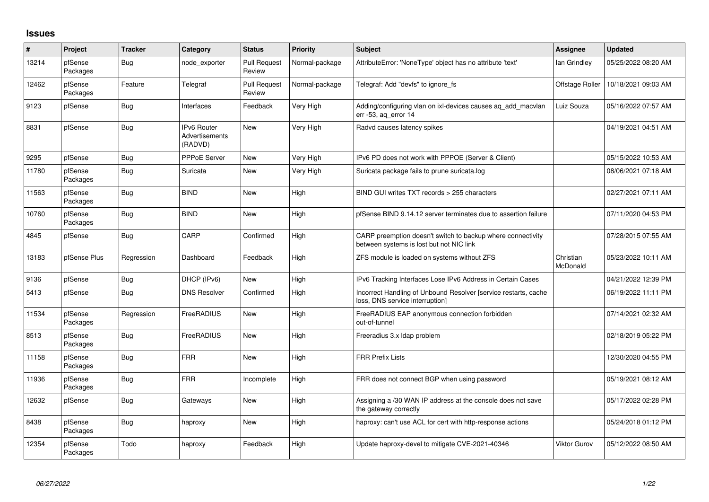## **Issues**

| #     | <b>Project</b>      | <b>Tracker</b> | Category                                        | <b>Status</b>                 | Priority       | <b>Subject</b>                                                                                          | <b>Assignee</b>       | <b>Updated</b>      |
|-------|---------------------|----------------|-------------------------------------------------|-------------------------------|----------------|---------------------------------------------------------------------------------------------------------|-----------------------|---------------------|
| 13214 | pfSense<br>Packages | <b>Bug</b>     | node exporter                                   | <b>Pull Request</b><br>Review | Normal-package | AttributeError: 'NoneType' object has no attribute 'text'                                               | lan Grindley          | 05/25/2022 08:20 AM |
| 12462 | pfSense<br>Packages | Feature        | Telegraf                                        | <b>Pull Request</b><br>Review | Normal-package | Telegraf: Add "devfs" to ignore fs                                                                      | Offstage Roller       | 10/18/2021 09:03 AM |
| 9123  | pfSense             | Bug            | Interfaces                                      | Feedback                      | Very High      | Adding/configuring vlan on ixl-devices causes aq_add_macvlan<br>err -53, ag error 14                    | Luiz Souza            | 05/16/2022 07:57 AM |
| 8831  | pfSense             | Bug            | <b>IPv6 Router</b><br>Advertisements<br>(RADVD) | <b>New</b>                    | Very High      | Radvd causes latency spikes                                                                             |                       | 04/19/2021 04:51 AM |
| 9295  | pfSense             | Bug            | <b>PPPoE Server</b>                             | <b>New</b>                    | Very High      | IPv6 PD does not work with PPPOE (Server & Client)                                                      |                       | 05/15/2022 10:53 AM |
| 11780 | pfSense<br>Packages | Bug            | Suricata                                        | New                           | Very High      | Suricata package fails to prune suricata.log                                                            |                       | 08/06/2021 07:18 AM |
| 11563 | pfSense<br>Packages | Bug            | <b>BIND</b>                                     | <b>New</b>                    | High           | BIND GUI writes TXT records > 255 characters                                                            |                       | 02/27/2021 07:11 AM |
| 10760 | pfSense<br>Packages | Bug            | <b>BIND</b>                                     | <b>New</b>                    | High           | pfSense BIND 9.14.12 server terminates due to assertion failure                                         |                       | 07/11/2020 04:53 PM |
| 4845  | pfSense             | Bug            | CARP                                            | Confirmed                     | High           | CARP preemption doesn't switch to backup where connectivity<br>between systems is lost but not NIC link |                       | 07/28/2015 07:55 AM |
| 13183 | pfSense Plus        | Regression     | Dashboard                                       | Feedback                      | High           | ZFS module is loaded on systems without ZFS                                                             | Christian<br>McDonald | 05/23/2022 10:11 AM |
| 9136  | pfSense             | <b>Bug</b>     | DHCP (IPv6)                                     | <b>New</b>                    | High           | IPv6 Tracking Interfaces Lose IPv6 Address in Certain Cases                                             |                       | 04/21/2022 12:39 PM |
| 5413  | pfSense             | <b>Bug</b>     | <b>DNS Resolver</b>                             | Confirmed                     | High           | Incorrect Handling of Unbound Resolver [service restarts, cache<br>loss, DNS service interruption]      |                       | 06/19/2022 11:11 PM |
| 11534 | pfSense<br>Packages | Regression     | FreeRADIUS                                      | <b>New</b>                    | High           | FreeRADIUS EAP anonymous connection forbidden<br>out-of-tunnel                                          |                       | 07/14/2021 02:32 AM |
| 8513  | pfSense<br>Packages | <b>Bug</b>     | FreeRADIUS                                      | <b>New</b>                    | High           | Freeradius 3.x Idap problem                                                                             |                       | 02/18/2019 05:22 PM |
| 11158 | pfSense<br>Packages | Bug            | <b>FRR</b>                                      | <b>New</b>                    | High           | <b>FRR Prefix Lists</b>                                                                                 |                       | 12/30/2020 04:55 PM |
| 11936 | pfSense<br>Packages | Bug            | <b>FRR</b>                                      | Incomplete                    | High           | FRR does not connect BGP when using password                                                            |                       | 05/19/2021 08:12 AM |
| 12632 | pfSense             | <b>Bug</b>     | Gateways                                        | <b>New</b>                    | High           | Assigning a /30 WAN IP address at the console does not save<br>the gateway correctly                    |                       | 05/17/2022 02:28 PM |
| 8438  | pfSense<br>Packages | Bug            | haproxy                                         | <b>New</b>                    | High           | haproxy: can't use ACL for cert with http-response actions                                              |                       | 05/24/2018 01:12 PM |
| 12354 | pfSense<br>Packages | Todo           | haproxy                                         | Feedback                      | High           | Update haproxy-devel to mitigate CVE-2021-40346                                                         | Viktor Gurov          | 05/12/2022 08:50 AM |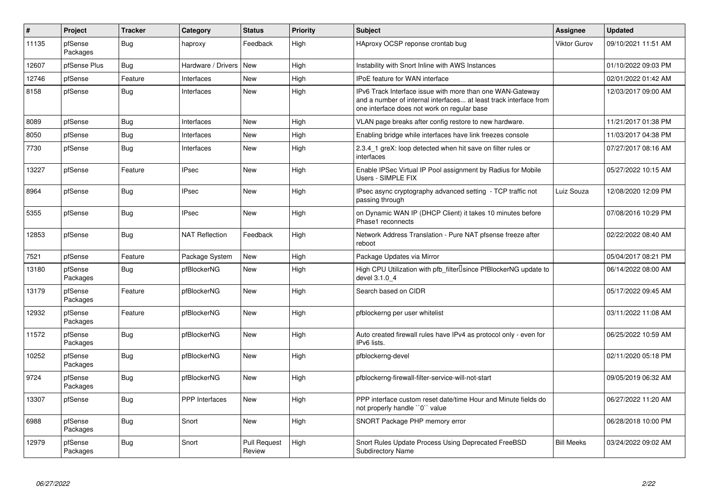| $\vert$ # | Project             | <b>Tracker</b> | Category              | <b>Status</b>                 | <b>Priority</b> | <b>Subject</b>                                                                                                                                                                | <b>Assignee</b>     | <b>Updated</b>      |
|-----------|---------------------|----------------|-----------------------|-------------------------------|-----------------|-------------------------------------------------------------------------------------------------------------------------------------------------------------------------------|---------------------|---------------------|
| 11135     | pfSense<br>Packages | <b>Bug</b>     | haproxy               | Feedback                      | High            | HAproxy OCSP reponse crontab bug                                                                                                                                              | <b>Viktor Gurov</b> | 09/10/2021 11:51 AM |
| 12607     | pfSense Plus        | Bug            | Hardware / Drivers    | New                           | High            | Instability with Snort Inline with AWS Instances                                                                                                                              |                     | 01/10/2022 09:03 PM |
| 12746     | pfSense             | Feature        | Interfaces            | <b>New</b>                    | High            | <b>IPoE</b> feature for WAN interface                                                                                                                                         |                     | 02/01/2022 01:42 AM |
| 8158      | pfSense             | <b>Bug</b>     | Interfaces            | <b>New</b>                    | High            | IPv6 Track Interface issue with more than one WAN-Gateway<br>and a number of internal interfaces at least track interface from<br>one interface does not work on regular base |                     | 12/03/2017 09:00 AM |
| 8089      | pfSense             | Bug            | Interfaces            | <b>New</b>                    | High            | VLAN page breaks after config restore to new hardware.                                                                                                                        |                     | 11/21/2017 01:38 PM |
| 8050      | pfSense             | <b>Bug</b>     | Interfaces            | <b>New</b>                    | High            | Enabling bridge while interfaces have link freezes console                                                                                                                    |                     | 11/03/2017 04:38 PM |
| 7730      | pfSense             | Bug            | Interfaces            | <b>New</b>                    | High            | 2.3.4 1 greX: loop detected when hit save on filter rules or<br>interfaces                                                                                                    |                     | 07/27/2017 08:16 AM |
| 13227     | pfSense             | Feature        | <b>IPsec</b>          | New                           | High            | Enable IPSec Virtual IP Pool assignment by Radius for Mobile<br>Users - SIMPLE FIX                                                                                            |                     | 05/27/2022 10:15 AM |
| 8964      | pfSense             | <b>Bug</b>     | <b>IPsec</b>          | <b>New</b>                    | High            | IPsec async cryptography advanced setting - TCP traffic not<br>passing through                                                                                                | Luiz Souza          | 12/08/2020 12:09 PM |
| 5355      | pfSense             | Bug            | <b>IPsec</b>          | New                           | High            | on Dynamic WAN IP (DHCP Client) it takes 10 minutes before<br>Phase1 reconnects                                                                                               |                     | 07/08/2016 10:29 PM |
| 12853     | pfSense             | Bug            | <b>NAT Reflection</b> | Feedback                      | High            | Network Address Translation - Pure NAT pfsense freeze after<br>reboot                                                                                                         |                     | 02/22/2022 08:40 AM |
| 7521      | pfSense             | Feature        | Package System        | New                           | High            | Package Updates via Mirror                                                                                                                                                    |                     | 05/04/2017 08:21 PM |
| 13180     | pfSense<br>Packages | Bug            | pfBlockerNG           | <b>New</b>                    | High            | High CPU Utilization with pfb_filter <sup>[]</sup> since PfBlockerNG update to<br>devel 3.1.0 4                                                                               |                     | 06/14/2022 08:00 AM |
| 13179     | pfSense<br>Packages | Feature        | pfBlockerNG           | New                           | High            | Search based on CIDR                                                                                                                                                          |                     | 05/17/2022 09:45 AM |
| 12932     | pfSense<br>Packages | Feature        | pfBlockerNG           | <b>New</b>                    | High            | pfblockerng per user whitelist                                                                                                                                                |                     | 03/11/2022 11:08 AM |
| 11572     | pfSense<br>Packages | <b>Bug</b>     | pfBlockerNG           | <b>New</b>                    | High            | Auto created firewall rules have IPv4 as protocol only - even for<br>IPv6 lists.                                                                                              |                     | 06/25/2022 10:59 AM |
| 10252     | pfSense<br>Packages | <b>Bug</b>     | pfBlockerNG           | <b>New</b>                    | High            | pfblockerng-devel                                                                                                                                                             |                     | 02/11/2020 05:18 PM |
| 9724      | pfSense<br>Packages | Bug            | pfBlockerNG           | <b>New</b>                    | High            | pfblockerng-firewall-filter-service-will-not-start                                                                                                                            |                     | 09/05/2019 06:32 AM |
| 13307     | pfSense             | <b>Bug</b>     | <b>PPP</b> Interfaces | <b>New</b>                    | High            | PPP interface custom reset date/time Hour and Minute fields do<br>not properly handle "0" value                                                                               |                     | 06/27/2022 11:20 AM |
| 6988      | pfSense<br>Packages | Bug            | Snort                 | <b>New</b>                    | High            | SNORT Package PHP memory error                                                                                                                                                |                     | 06/28/2018 10:00 PM |
| 12979     | pfSense<br>Packages | <b>Bug</b>     | Snort                 | <b>Pull Request</b><br>Review | High            | Snort Rules Update Process Using Deprecated FreeBSD<br>Subdirectory Name                                                                                                      | <b>Bill Meeks</b>   | 03/24/2022 09:02 AM |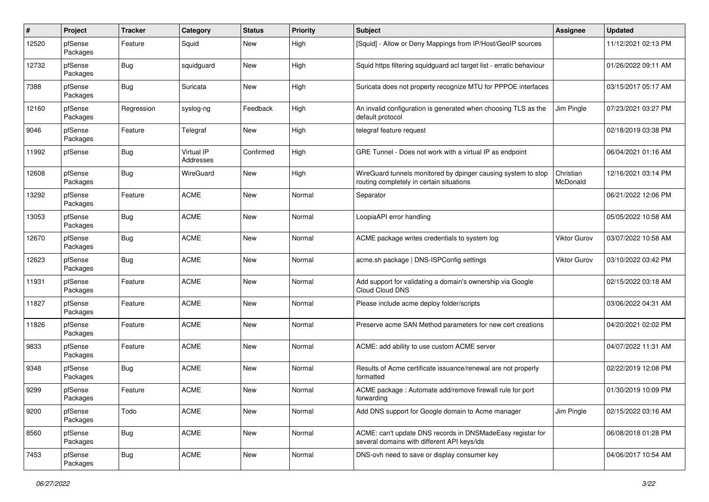| #     | Project             | <b>Tracker</b> | Category                | <b>Status</b> | <b>Priority</b> | Subject                                                                                                   | <b>Assignee</b>       | <b>Updated</b>      |
|-------|---------------------|----------------|-------------------------|---------------|-----------------|-----------------------------------------------------------------------------------------------------------|-----------------------|---------------------|
| 12520 | pfSense<br>Packages | Feature        | Squid                   | New           | High            | [Squid] - Allow or Deny Mappings from IP/Host/GeoIP sources                                               |                       | 11/12/2021 02:13 PM |
| 12732 | pfSense<br>Packages | <b>Bug</b>     | squidguard              | New           | High            | Squid https filtering squidguard acl target list - erratic behaviour                                      |                       | 01/26/2022 09:11 AM |
| 7388  | pfSense<br>Packages | <b>Bug</b>     | Suricata                | New           | High            | Suricata does not property recognize MTU for PPPOE interfaces                                             |                       | 03/15/2017 05:17 AM |
| 12160 | pfSense<br>Packages | Regression     | syslog-ng               | Feedback      | High            | An invalid configuration is generated when choosing TLS as the<br>default protocol                        | Jim Pingle            | 07/23/2021 03:27 PM |
| 9046  | pfSense<br>Packages | Feature        | Telegraf                | New           | High            | telegraf feature request                                                                                  |                       | 02/18/2019 03:38 PM |
| 11992 | pfSense             | <b>Bug</b>     | Virtual IP<br>Addresses | Confirmed     | High            | GRE Tunnel - Does not work with a virtual IP as endpoint                                                  |                       | 06/04/2021 01:16 AM |
| 12608 | pfSense<br>Packages | <b>Bug</b>     | WireGuard               | New           | High            | WireGuard tunnels monitored by dpinger causing system to stop<br>routing completely in certain situations | Christian<br>McDonald | 12/16/2021 03:14 PM |
| 13292 | pfSense<br>Packages | Feature        | <b>ACME</b>             | New           | Normal          | Separator                                                                                                 |                       | 06/21/2022 12:06 PM |
| 13053 | pfSense<br>Packages | <b>Bug</b>     | <b>ACME</b>             | New           | Normal          | LoopiaAPI error handling                                                                                  |                       | 05/05/2022 10:58 AM |
| 12670 | pfSense<br>Packages | <b>Bug</b>     | <b>ACME</b>             | New           | Normal          | ACME package writes credentials to system log                                                             | Viktor Gurov          | 03/07/2022 10:58 AM |
| 12623 | pfSense<br>Packages | Bug            | <b>ACME</b>             | New           | Normal          | acme.sh package   DNS-ISPConfig settings                                                                  | Viktor Gurov          | 03/10/2022 03:42 PM |
| 11931 | pfSense<br>Packages | Feature        | <b>ACME</b>             | New           | Normal          | Add support for validating a domain's ownership via Google<br>Cloud Cloud DNS                             |                       | 02/15/2022 03:18 AM |
| 11827 | pfSense<br>Packages | Feature        | <b>ACME</b>             | New           | Normal          | Please include acme deploy folder/scripts                                                                 |                       | 03/06/2022 04:31 AM |
| 11826 | pfSense<br>Packages | Feature        | <b>ACME</b>             | New           | Normal          | Preserve acme SAN Method parameters for new cert creations                                                |                       | 04/20/2021 02:02 PM |
| 9833  | pfSense<br>Packages | Feature        | <b>ACME</b>             | New           | Normal          | ACME: add ability to use custom ACME server                                                               |                       | 04/07/2022 11:31 AM |
| 9348  | pfSense<br>Packages | <b>Bug</b>     | <b>ACME</b>             | <b>New</b>    | Normal          | Results of Acme certificate issuance/renewal are not properly<br>formatted                                |                       | 02/22/2019 12:08 PM |
| 9299  | pfSense<br>Packages | Feature        | <b>ACME</b>             | <b>New</b>    | Normal          | ACME package: Automate add/remove firewall rule for port<br>forwarding                                    |                       | 01/30/2019 10:09 PM |
| 9200  | pfSense<br>Packages | Todo           | <b>ACME</b>             | New           | Normal          | Add DNS support for Google domain to Acme manager                                                         | Jim Pingle            | 02/15/2022 03:16 AM |
| 8560  | pfSense<br>Packages | <b>Bug</b>     | <b>ACME</b>             | New           | Normal          | ACME: can't update DNS records in DNSMadeEasy registar for<br>several domains with different API keys/ids |                       | 06/08/2018 01:28 PM |
| 7453  | pfSense<br>Packages | <b>Bug</b>     | ACME                    | New           | Normal          | DNS-ovh need to save or display consumer key                                                              |                       | 04/06/2017 10:54 AM |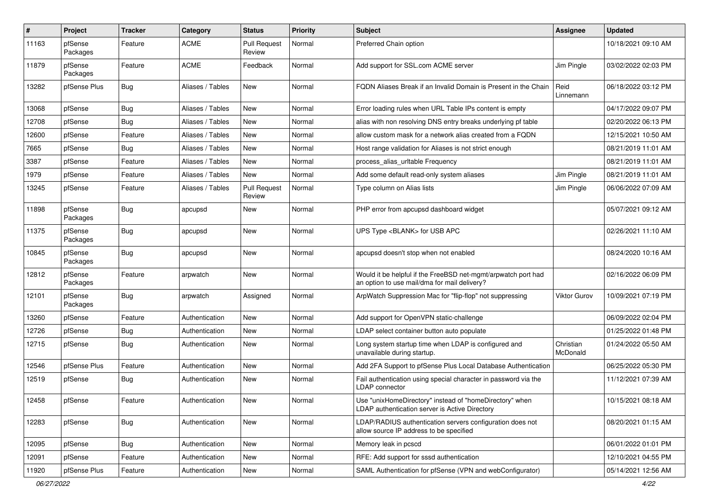| #     | Project             | <b>Tracker</b> | Category         | <b>Status</b>                 | <b>Priority</b> | Subject                                                                                                       | Assignee              | <b>Updated</b>      |
|-------|---------------------|----------------|------------------|-------------------------------|-----------------|---------------------------------------------------------------------------------------------------------------|-----------------------|---------------------|
| 11163 | pfSense<br>Packages | Feature        | <b>ACME</b>      | <b>Pull Request</b><br>Review | Normal          | Preferred Chain option                                                                                        |                       | 10/18/2021 09:10 AM |
| 11879 | pfSense<br>Packages | Feature        | <b>ACME</b>      | Feedback                      | Normal          | Add support for SSL.com ACME server                                                                           | Jim Pingle            | 03/02/2022 02:03 PM |
| 13282 | pfSense Plus        | Bug            | Aliases / Tables | New                           | Normal          | FQDN Aliases Break if an Invalid Domain is Present in the Chain                                               | Reid<br>Linnemann     | 06/18/2022 03:12 PM |
| 13068 | pfSense             | <b>Bug</b>     | Aliases / Tables | <b>New</b>                    | Normal          | Error loading rules when URL Table IPs content is empty                                                       |                       | 04/17/2022 09:07 PM |
| 12708 | pfSense             | <b>Bug</b>     | Aliases / Tables | <b>New</b>                    | Normal          | alias with non resolving DNS entry breaks underlying pf table                                                 |                       | 02/20/2022 06:13 PM |
| 12600 | pfSense             | Feature        | Aliases / Tables | New                           | Normal          | allow custom mask for a network alias created from a FQDN                                                     |                       | 12/15/2021 10:50 AM |
| 7665  | pfSense             | <b>Bug</b>     | Aliases / Tables | New                           | Normal          | Host range validation for Aliases is not strict enough                                                        |                       | 08/21/2019 11:01 AM |
| 3387  | pfSense             | Feature        | Aliases / Tables | New                           | Normal          | process alias urltable Frequency                                                                              |                       | 08/21/2019 11:01 AM |
| 1979  | pfSense             | Feature        | Aliases / Tables | New                           | Normal          | Add some default read-only system aliases                                                                     | Jim Pingle            | 08/21/2019 11:01 AM |
| 13245 | pfSense             | Feature        | Aliases / Tables | <b>Pull Request</b><br>Review | Normal          | Type column on Alias lists                                                                                    | Jim Pingle            | 06/06/2022 07:09 AM |
| 11898 | pfSense<br>Packages | <b>Bug</b>     | apcupsd          | New                           | Normal          | PHP error from apcupsd dashboard widget                                                                       |                       | 05/07/2021 09:12 AM |
| 11375 | pfSense<br>Packages | Bug            | apcupsd          | New                           | Normal          | UPS Type <blank> for USB APC</blank>                                                                          |                       | 02/26/2021 11:10 AM |
| 10845 | pfSense<br>Packages | <b>Bug</b>     | apcupsd          | New                           | Normal          | apcupsd doesn't stop when not enabled                                                                         |                       | 08/24/2020 10:16 AM |
| 12812 | pfSense<br>Packages | Feature        | arpwatch         | New                           | Normal          | Would it be helpful if the FreeBSD net-mgmt/arpwatch port had<br>an option to use mail/dma for mail delivery? |                       | 02/16/2022 06:09 PM |
| 12101 | pfSense<br>Packages | <b>Bug</b>     | arpwatch         | Assigned                      | Normal          | ArpWatch Suppression Mac for "flip-flop" not suppressing                                                      | Viktor Gurov          | 10/09/2021 07:19 PM |
| 13260 | pfSense             | Feature        | Authentication   | <b>New</b>                    | Normal          | Add support for OpenVPN static-challenge                                                                      |                       | 06/09/2022 02:04 PM |
| 12726 | pfSense             | <b>Bug</b>     | Authentication   | New                           | Normal          | LDAP select container button auto populate                                                                    |                       | 01/25/2022 01:48 PM |
| 12715 | pfSense             | Bug            | Authentication   | <b>New</b>                    | Normal          | Long system startup time when LDAP is configured and<br>unavailable during startup.                           | Christian<br>McDonald | 01/24/2022 05:50 AM |
| 12546 | pfSense Plus        | Feature        | Authentication   | <b>New</b>                    | Normal          | Add 2FA Support to pfSense Plus Local Database Authentication                                                 |                       | 06/25/2022 05:30 PM |
| 12519 | pfSense             | Bug            | Authentication   | New                           | Normal          | Fail authentication using special character in password via the<br>LDAP connector                             |                       | 11/12/2021 07:39 AM |
| 12458 | pfSense             | Feature        | Authentication   | New                           | Normal          | Use "unixHomeDirectory" instead of "homeDirectory" when<br>LDAP authentication server is Active Directory     |                       | 10/15/2021 08:18 AM |
| 12283 | pfSense             | <b>Bug</b>     | Authentication   | New                           | Normal          | LDAP/RADIUS authentication servers configuration does not<br>allow source IP address to be specified          |                       | 08/20/2021 01:15 AM |
| 12095 | pfSense             | Bug            | Authentication   | New                           | Normal          | Memory leak in pcscd                                                                                          |                       | 06/01/2022 01:01 PM |
| 12091 | pfSense             | Feature        | Authentication   | New                           | Normal          | RFE: Add support for sssd authentication                                                                      |                       | 12/10/2021 04:55 PM |
| 11920 | pfSense Plus        | Feature        | Authentication   | New                           | Normal          | SAML Authentication for pfSense (VPN and webConfigurator)                                                     |                       | 05/14/2021 12:56 AM |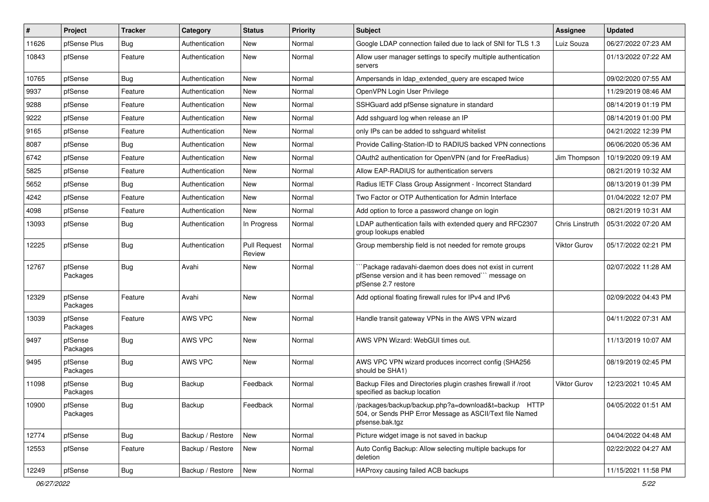| $\vert$ # | Project             | <b>Tracker</b> | Category         | <b>Status</b>                 | <b>Priority</b> | <b>Subject</b>                                                                                                                        | <b>Assignee</b>     | <b>Updated</b>      |
|-----------|---------------------|----------------|------------------|-------------------------------|-----------------|---------------------------------------------------------------------------------------------------------------------------------------|---------------------|---------------------|
| 11626     | pfSense Plus        | Bug            | Authentication   | New                           | Normal          | Google LDAP connection failed due to lack of SNI for TLS 1.3                                                                          | Luiz Souza          | 06/27/2022 07:23 AM |
| 10843     | pfSense             | Feature        | Authentication   | New                           | Normal          | Allow user manager settings to specify multiple authentication<br>servers                                                             |                     | 01/13/2022 07:22 AM |
| 10765     | pfSense             | <b>Bug</b>     | Authentication   | New                           | Normal          | Ampersands in Idap_extended_query are escaped twice                                                                                   |                     | 09/02/2020 07:55 AM |
| 9937      | pfSense             | Feature        | Authentication   | <b>New</b>                    | Normal          | OpenVPN Login User Privilege                                                                                                          |                     | 11/29/2019 08:46 AM |
| 9288      | pfSense             | Feature        | Authentication   | New                           | Normal          | SSHGuard add pfSense signature in standard                                                                                            |                     | 08/14/2019 01:19 PM |
| 9222      | pfSense             | Feature        | Authentication   | New                           | Normal          | Add sshquard log when release an IP                                                                                                   |                     | 08/14/2019 01:00 PM |
| 9165      | pfSense             | Feature        | Authentication   | <b>New</b>                    | Normal          | only IPs can be added to sshguard whitelist                                                                                           |                     | 04/21/2022 12:39 PM |
| 8087      | pfSense             | <b>Bug</b>     | Authentication   | New                           | Normal          | Provide Calling-Station-ID to RADIUS backed VPN connections                                                                           |                     | 06/06/2020 05:36 AM |
| 6742      | pfSense             | Feature        | Authentication   | <b>New</b>                    | Normal          | OAuth2 authentication for OpenVPN (and for FreeRadius)                                                                                | Jim Thompson        | 10/19/2020 09:19 AM |
| 5825      | pfSense             | Feature        | Authentication   | New                           | Normal          | Allow EAP-RADIUS for authentication servers                                                                                           |                     | 08/21/2019 10:32 AM |
| 5652      | pfSense             | <b>Bug</b>     | Authentication   | New                           | Normal          | Radius IETF Class Group Assignment - Incorrect Standard                                                                               |                     | 08/13/2019 01:39 PM |
| 4242      | pfSense             | Feature        | Authentication   | New                           | Normal          | Two Factor or OTP Authentication for Admin Interface                                                                                  |                     | 01/04/2022 12:07 PM |
| 4098      | pfSense             | Feature        | Authentication   | New                           | Normal          | Add option to force a password change on login                                                                                        |                     | 08/21/2019 10:31 AM |
| 13093     | pfSense             | <b>Bug</b>     | Authentication   | In Progress                   | Normal          | LDAP authentication fails with extended query and RFC2307<br>group lookups enabled                                                    | Chris Linstruth     | 05/31/2022 07:20 AM |
| 12225     | pfSense             | <b>Bug</b>     | Authentication   | <b>Pull Request</b><br>Review | Normal          | Group membership field is not needed for remote groups                                                                                | <b>Viktor Gurov</b> | 05/17/2022 02:21 PM |
| 12767     | pfSense<br>Packages | <b>Bug</b>     | Avahi            | New                           | Normal          | Package radavahi-daemon does does not exist in current<br>pfSense version and it has been removed"" message on<br>pfSense 2.7 restore |                     | 02/07/2022 11:28 AM |
| 12329     | pfSense<br>Packages | Feature        | Avahi            | New                           | Normal          | Add optional floating firewall rules for IPv4 and IPv6                                                                                |                     | 02/09/2022 04:43 PM |
| 13039     | pfSense<br>Packages | Feature        | AWS VPC          | <b>New</b>                    | Normal          | Handle transit gateway VPNs in the AWS VPN wizard                                                                                     |                     | 04/11/2022 07:31 AM |
| 9497      | pfSense<br>Packages | <b>Bug</b>     | AWS VPC          | New                           | Normal          | AWS VPN Wizard: WebGUI times out.                                                                                                     |                     | 11/13/2019 10:07 AM |
| 9495      | pfSense<br>Packages | <b>Bug</b>     | AWS VPC          | <b>New</b>                    | Normal          | AWS VPC VPN wizard produces incorrect config (SHA256)<br>should be SHA1)                                                              |                     | 08/19/2019 02:45 PM |
| 11098     | pfSense<br>Packages | <b>Bug</b>     | Backup           | Feedback                      | Normal          | Backup Files and Directories plugin crashes firewall if /root<br>specified as backup location                                         | <b>Viktor Gurov</b> | 12/23/2021 10:45 AM |
| 10900     | pfSense<br>Packages | <b>Bug</b>     | Backup           | Feedback                      | Normal          | /packages/backup/backup.php?a=download&t=backup HTTP<br>504, or Sends PHP Error Message as ASCII/Text file Named<br>pfsense.bak.tgz   |                     | 04/05/2022 01:51 AM |
| 12774     | pfSense             | <b>Bug</b>     | Backup / Restore | New                           | Normal          | Picture widget image is not saved in backup                                                                                           |                     | 04/04/2022 04:48 AM |
| 12553     | pfSense             | Feature        | Backup / Restore | New                           | Normal          | Auto Config Backup: Allow selecting multiple backups for<br>deletion                                                                  |                     | 02/22/2022 04:27 AM |
| 12249     | pfSense             | <b>Bug</b>     | Backup / Restore | New                           | Normal          | HAProxy causing failed ACB backups                                                                                                    |                     | 11/15/2021 11:58 PM |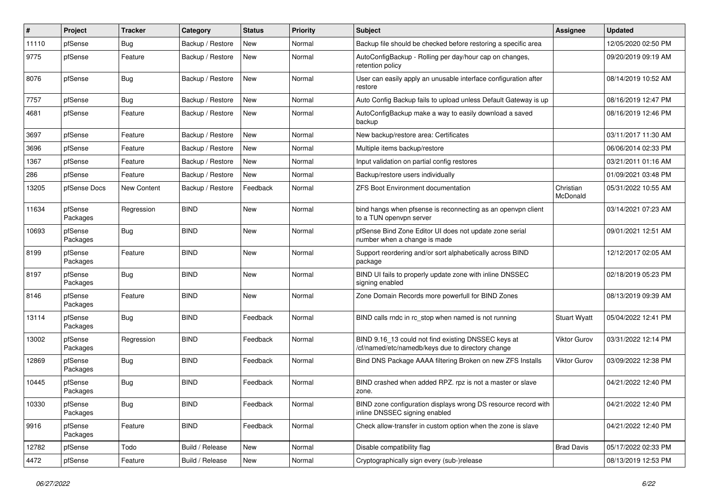| #     | Project             | <b>Tracker</b> | Category         | <b>Status</b> | Priority | <b>Subject</b>                                                                                           | <b>Assignee</b>       | <b>Updated</b>      |
|-------|---------------------|----------------|------------------|---------------|----------|----------------------------------------------------------------------------------------------------------|-----------------------|---------------------|
| 11110 | pfSense             | <b>Bug</b>     | Backup / Restore | New           | Normal   | Backup file should be checked before restoring a specific area                                           |                       | 12/05/2020 02:50 PM |
| 9775  | pfSense             | Feature        | Backup / Restore | New           | Normal   | AutoConfigBackup - Rolling per day/hour cap on changes,<br>retention policy                              |                       | 09/20/2019 09:19 AM |
| 8076  | pfSense             | Bug            | Backup / Restore | New           | Normal   | User can easily apply an unusable interface configuration after<br>restore                               |                       | 08/14/2019 10:52 AM |
| 7757  | pfSense             | Bug            | Backup / Restore | <b>New</b>    | Normal   | Auto Config Backup fails to upload unless Default Gateway is up                                          |                       | 08/16/2019 12:47 PM |
| 4681  | pfSense             | Feature        | Backup / Restore | New           | Normal   | AutoConfigBackup make a way to easily download a saved<br>backup                                         |                       | 08/16/2019 12:46 PM |
| 3697  | pfSense             | Feature        | Backup / Restore | New           | Normal   | New backup/restore area: Certificates                                                                    |                       | 03/11/2017 11:30 AM |
| 3696  | pfSense             | Feature        | Backup / Restore | New           | Normal   | Multiple items backup/restore                                                                            |                       | 06/06/2014 02:33 PM |
| 1367  | pfSense             | Feature        | Backup / Restore | New           | Normal   | Input validation on partial config restores                                                              |                       | 03/21/2011 01:16 AM |
| 286   | pfSense             | Feature        | Backup / Restore | New           | Normal   | Backup/restore users individually                                                                        |                       | 01/09/2021 03:48 PM |
| 13205 | pfSense Docs        | New Content    | Backup / Restore | Feedback      | Normal   | <b>ZFS Boot Environment documentation</b>                                                                | Christian<br>McDonald | 05/31/2022 10:55 AM |
| 11634 | pfSense<br>Packages | Regression     | <b>BIND</b>      | <b>New</b>    | Normal   | bind hangs when pfsense is reconnecting as an openvpn client<br>to a TUN openvpn server                  |                       | 03/14/2021 07:23 AM |
| 10693 | pfSense<br>Packages | <b>Bug</b>     | <b>BIND</b>      | <b>New</b>    | Normal   | pfSense Bind Zone Editor UI does not update zone serial<br>number when a change is made                  |                       | 09/01/2021 12:51 AM |
| 8199  | pfSense<br>Packages | Feature        | <b>BIND</b>      | <b>New</b>    | Normal   | Support reordering and/or sort alphabetically across BIND<br>package                                     |                       | 12/12/2017 02:05 AM |
| 8197  | pfSense<br>Packages | <b>Bug</b>     | <b>BIND</b>      | New           | Normal   | BIND UI fails to properly update zone with inline DNSSEC<br>signing enabled                              |                       | 02/18/2019 05:23 PM |
| 8146  | pfSense<br>Packages | Feature        | <b>BIND</b>      | New           | Normal   | Zone Domain Records more powerfull for BIND Zones                                                        |                       | 08/13/2019 09:39 AM |
| 13114 | pfSense<br>Packages | <b>Bug</b>     | <b>BIND</b>      | Feedback      | Normal   | BIND calls rndc in rc_stop when named is not running                                                     | <b>Stuart Wyatt</b>   | 05/04/2022 12:41 PM |
| 13002 | pfSense<br>Packages | Regression     | <b>BIND</b>      | Feedback      | Normal   | BIND 9.16_13 could not find existing DNSSEC keys at<br>/cf/named/etc/namedb/keys due to directory change | <b>Viktor Gurov</b>   | 03/31/2022 12:14 PM |
| 12869 | pfSense<br>Packages | <b>Bug</b>     | <b>BIND</b>      | Feedback      | Normal   | Bind DNS Package AAAA filtering Broken on new ZFS Installs                                               | Viktor Gurov          | 03/09/2022 12:38 PM |
| 10445 | pfSense<br>Packages | <b>Bug</b>     | <b>BIND</b>      | Feedback      | Normal   | BIND crashed when added RPZ. rpz is not a master or slave<br>zone.                                       |                       | 04/21/2022 12:40 PM |
| 10330 | pfSense<br>Packages | <b>Bug</b>     | <b>BIND</b>      | Feedback      | Normal   | BIND zone configuration displays wrong DS resource record with<br>inline DNSSEC signing enabled          |                       | 04/21/2022 12:40 PM |
| 9916  | pfSense<br>Packages | Feature        | <b>BIND</b>      | Feedback      | Normal   | Check allow-transfer in custom option when the zone is slave                                             |                       | 04/21/2022 12:40 PM |
| 12782 | pfSense             | Todo           | Build / Release  | New           | Normal   | Disable compatibility flag                                                                               | <b>Brad Davis</b>     | 05/17/2022 02:33 PM |
| 4472  | pfSense             | Feature        | Build / Release  | New           | Normal   | Cryptographically sign every (sub-)release                                                               |                       | 08/13/2019 12:53 PM |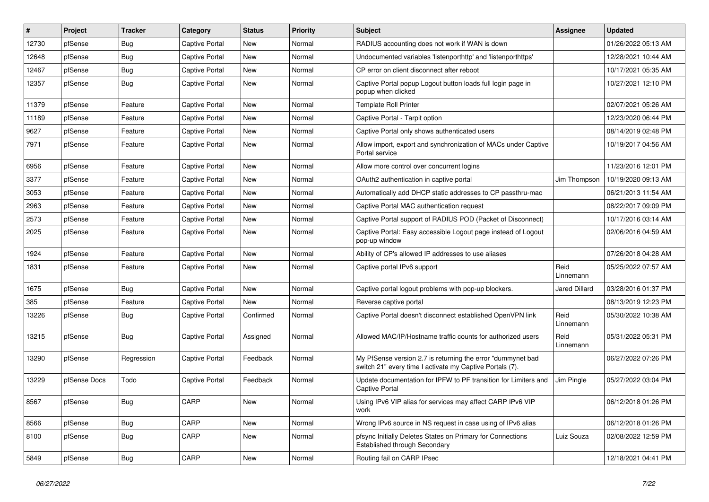| $\sharp$ | Project      | Tracker    | Category              | <b>Status</b> | <b>Priority</b> | <b>Subject</b>                                                                                                           | <b>Assignee</b>   | <b>Updated</b>      |
|----------|--------------|------------|-----------------------|---------------|-----------------|--------------------------------------------------------------------------------------------------------------------------|-------------------|---------------------|
| 12730    | pfSense      | Bug        | <b>Captive Portal</b> | <b>New</b>    | Normal          | RADIUS accounting does not work if WAN is down                                                                           |                   | 01/26/2022 05:13 AM |
| 12648    | pfSense      | <b>Bug</b> | <b>Captive Portal</b> | <b>New</b>    | Normal          | Undocumented variables 'listenporthttp' and 'listenporthttps'                                                            |                   | 12/28/2021 10:44 AM |
| 12467    | pfSense      | <b>Bug</b> | <b>Captive Portal</b> | <b>New</b>    | Normal          | CP error on client disconnect after reboot                                                                               |                   | 10/17/2021 05:35 AM |
| 12357    | pfSense      | <b>Bug</b> | <b>Captive Portal</b> | <b>New</b>    | Normal          | Captive Portal popup Logout button loads full login page in<br>popup when clicked                                        |                   | 10/27/2021 12:10 PM |
| 11379    | pfSense      | Feature    | <b>Captive Portal</b> | New           | Normal          | <b>Template Roll Printer</b>                                                                                             |                   | 02/07/2021 05:26 AM |
| 11189    | pfSense      | Feature    | <b>Captive Portal</b> | New           | Normal          | Captive Portal - Tarpit option                                                                                           |                   | 12/23/2020 06:44 PM |
| 9627     | pfSense      | Feature    | <b>Captive Portal</b> | New           | Normal          | Captive Portal only shows authenticated users                                                                            |                   | 08/14/2019 02:48 PM |
| 7971     | pfSense      | Feature    | <b>Captive Portal</b> | New           | Normal          | Allow import, export and synchronization of MACs under Captive<br>Portal service                                         |                   | 10/19/2017 04:56 AM |
| 6956     | pfSense      | Feature    | <b>Captive Portal</b> | New           | Normal          | Allow more control over concurrent logins                                                                                |                   | 11/23/2016 12:01 PM |
| 3377     | pfSense      | Feature    | <b>Captive Portal</b> | New           | Normal          | OAuth2 authentication in captive portal                                                                                  | Jim Thompson      | 10/19/2020 09:13 AM |
| 3053     | pfSense      | Feature    | Captive Portal        | New           | Normal          | Automatically add DHCP static addresses to CP passthru-mac                                                               |                   | 06/21/2013 11:54 AM |
| 2963     | pfSense      | Feature    | Captive Portal        | New           | Normal          | Captive Portal MAC authentication request                                                                                |                   | 08/22/2017 09:09 PM |
| 2573     | pfSense      | Feature    | Captive Portal        | New           | Normal          | Captive Portal support of RADIUS POD (Packet of Disconnect)                                                              |                   | 10/17/2016 03:14 AM |
| 2025     | pfSense      | Feature    | Captive Portal        | New           | Normal          | Captive Portal: Easy accessible Logout page instead of Logout<br>pop-up window                                           |                   | 02/06/2016 04:59 AM |
| 1924     | pfSense      | Feature    | <b>Captive Portal</b> | New           | Normal          | Ability of CP's allowed IP addresses to use aliases                                                                      |                   | 07/26/2018 04:28 AM |
| 1831     | pfSense      | Feature    | <b>Captive Portal</b> | <b>New</b>    | Normal          | Captive portal IPv6 support                                                                                              | Reid<br>Linnemann | 05/25/2022 07:57 AM |
| 1675     | pfSense      | <b>Bug</b> | Captive Portal        | New           | Normal          | Captive portal logout problems with pop-up blockers.                                                                     | Jared Dillard     | 03/28/2016 01:37 PM |
| 385      | pfSense      | Feature    | Captive Portal        | New           | Normal          | Reverse captive portal                                                                                                   |                   | 08/13/2019 12:23 PM |
| 13226    | pfSense      | <b>Bug</b> | Captive Portal        | Confirmed     | Normal          | Captive Portal doesn't disconnect established OpenVPN link                                                               | Reid<br>Linnemann | 05/30/2022 10:38 AM |
| 13215    | pfSense      | Bug        | Captive Portal        | Assigned      | Normal          | Allowed MAC/IP/Hostname traffic counts for authorized users                                                              | Reid<br>Linnemann | 05/31/2022 05:31 PM |
| 13290    | pfSense      | Regression | Captive Portal        | Feedback      | Normal          | My PfSense version 2.7 is returning the error "dummynet bad"<br>switch 21" every time I activate my Captive Portals (7). |                   | 06/27/2022 07:26 PM |
| 13229    | pfSense Docs | Todo       | <b>Captive Portal</b> | Feedback      | Normal          | Update documentation for IPFW to PF transition for Limiters and<br><b>Captive Portal</b>                                 | Jim Pingle        | 05/27/2022 03:04 PM |
| 8567     | pfSense      | <b>Bug</b> | CARP                  | New           | Normal          | Using IPv6 VIP alias for services may affect CARP IPv6 VIP<br>work                                                       |                   | 06/12/2018 01:26 PM |
| 8566     | pfSense      | <b>Bug</b> | CARP                  | New           | Normal          | Wrong IPv6 source in NS request in case using of IPv6 alias                                                              |                   | 06/12/2018 01:26 PM |
| 8100     | pfSense      | Bug        | CARP                  | New           | Normal          | pfsync Initially Deletes States on Primary for Connections<br><b>Established through Secondary</b>                       | Luiz Souza        | 02/08/2022 12:59 PM |
| 5849     | pfSense      | <b>Bug</b> | CARP                  | New           | Normal          | Routing fail on CARP IPsec                                                                                               |                   | 12/18/2021 04:41 PM |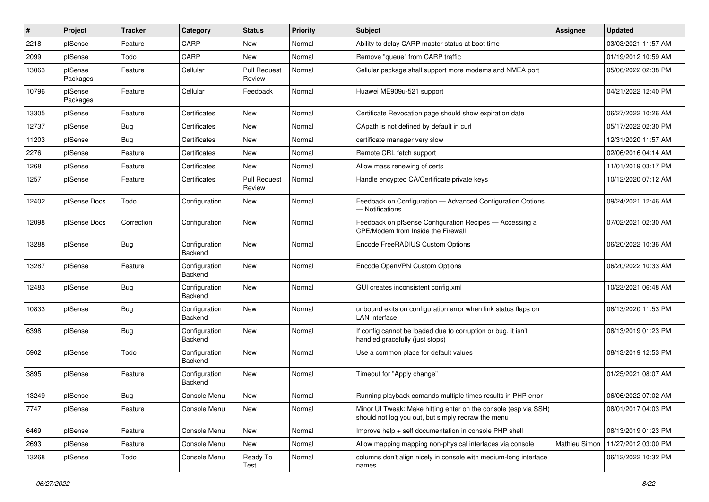| $\#$  | Project             | <b>Tracker</b> | Category                 | <b>Status</b>                 | Priority | <b>Subject</b>                                                                                                        | <b>Assignee</b> | <b>Updated</b>      |
|-------|---------------------|----------------|--------------------------|-------------------------------|----------|-----------------------------------------------------------------------------------------------------------------------|-----------------|---------------------|
| 2218  | pfSense             | Feature        | CARP                     | New                           | Normal   | Ability to delay CARP master status at boot time                                                                      |                 | 03/03/2021 11:57 AM |
| 2099  | pfSense             | Todo           | CARP                     | <b>New</b>                    | Normal   | Remove "queue" from CARP traffic                                                                                      |                 | 01/19/2012 10:59 AM |
| 13063 | pfSense<br>Packages | Feature        | Cellular                 | <b>Pull Request</b><br>Review | Normal   | Cellular package shall support more modems and NMEA port                                                              |                 | 05/06/2022 02:38 PM |
| 10796 | pfSense<br>Packages | Feature        | Cellular                 | Feedback                      | Normal   | Huawei ME909u-521 support                                                                                             |                 | 04/21/2022 12:40 PM |
| 13305 | pfSense             | Feature        | Certificates             | New                           | Normal   | Certificate Revocation page should show expiration date                                                               |                 | 06/27/2022 10:26 AM |
| 12737 | pfSense             | Bug            | Certificates             | <b>New</b>                    | Normal   | CApath is not defined by default in curl                                                                              |                 | 05/17/2022 02:30 PM |
| 11203 | pfSense             | Bug            | Certificates             | New                           | Normal   | certificate manager very slow                                                                                         |                 | 12/31/2020 11:57 AM |
| 2276  | pfSense             | Feature        | Certificates             | <b>New</b>                    | Normal   | Remote CRL fetch support                                                                                              |                 | 02/06/2016 04:14 AM |
| 1268  | pfSense             | Feature        | Certificates             | New                           | Normal   | Allow mass renewing of certs                                                                                          |                 | 11/01/2019 03:17 PM |
| 1257  | pfSense             | Feature        | Certificates             | <b>Pull Request</b><br>Review | Normal   | Handle encypted CA/Certificate private keys                                                                           |                 | 10/12/2020 07:12 AM |
| 12402 | pfSense Docs        | Todo           | Configuration            | New                           | Normal   | Feedback on Configuration - Advanced Configuration Options<br>- Notifications                                         |                 | 09/24/2021 12:46 AM |
| 12098 | pfSense Docs        | Correction     | Configuration            | <b>New</b>                    | Normal   | Feedback on pfSense Configuration Recipes - Accessing a<br>CPE/Modem from Inside the Firewall                         |                 | 07/02/2021 02:30 AM |
| 13288 | pfSense             | <b>Bug</b>     | Configuration<br>Backend | <b>New</b>                    | Normal   | Encode FreeRADIUS Custom Options                                                                                      |                 | 06/20/2022 10:36 AM |
| 13287 | pfSense             | Feature        | Configuration<br>Backend | <b>New</b>                    | Normal   | Encode OpenVPN Custom Options                                                                                         |                 | 06/20/2022 10:33 AM |
| 12483 | pfSense             | <b>Bug</b>     | Configuration<br>Backend | <b>New</b>                    | Normal   | GUI creates inconsistent config.xml                                                                                   |                 | 10/23/2021 06:48 AM |
| 10833 | pfSense             | Bug            | Configuration<br>Backend | <b>New</b>                    | Normal   | unbound exits on configuration error when link status flaps on<br><b>LAN</b> interface                                |                 | 08/13/2020 11:53 PM |
| 6398  | pfSense             | <b>Bug</b>     | Configuration<br>Backend | <b>New</b>                    | Normal   | If config cannot be loaded due to corruption or bug, it isn't<br>handled gracefully (just stops)                      |                 | 08/13/2019 01:23 PM |
| 5902  | pfSense             | Todo           | Configuration<br>Backend | <b>New</b>                    | Normal   | Use a common place for default values                                                                                 |                 | 08/13/2019 12:53 PM |
| 3895  | pfSense             | Feature        | Configuration<br>Backend | <b>New</b>                    | Normal   | Timeout for "Apply change"                                                                                            |                 | 01/25/2021 08:07 AM |
| 13249 | pfSense             | <b>Bug</b>     | Console Menu             | New                           | Normal   | Running playback comands multiple times results in PHP error                                                          |                 | 06/06/2022 07:02 AM |
| 7747  | pfSense             | Feature        | Console Menu             | <b>New</b>                    | Normal   | Minor UI Tweak: Make hitting enter on the console (esp via SSH)<br>should not log you out, but simply redraw the menu |                 | 08/01/2017 04:03 PM |
| 6469  | pfSense             | Feature        | Console Menu             | <b>New</b>                    | Normal   | Improve help + self documentation in console PHP shell                                                                |                 | 08/13/2019 01:23 PM |
| 2693  | pfSense             | Feature        | Console Menu             | New                           | Normal   | Allow mapping mapping non-physical interfaces via console                                                             | Mathieu Simon   | 11/27/2012 03:00 PM |
| 13268 | pfSense             | Todo           | Console Menu             | Ready To<br>Test              | Normal   | columns don't align nicely in console with medium-long interface<br>names                                             |                 | 06/12/2022 10:32 PM |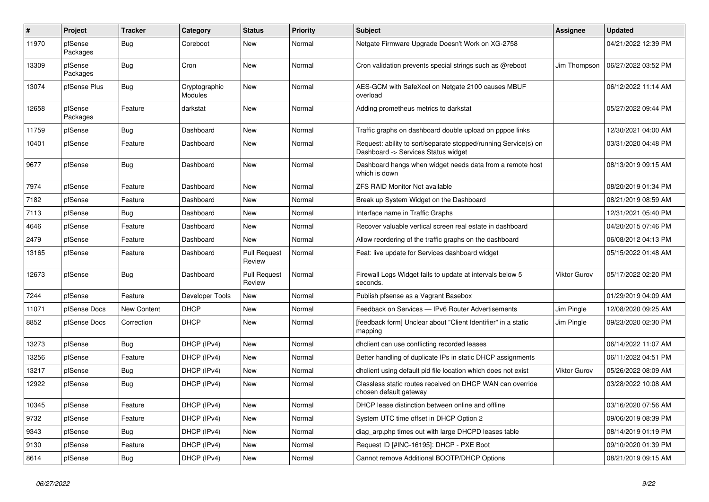| #     | Project             | <b>Tracker</b>     | Category                 | <b>Status</b>                 | <b>Priority</b> | <b>Subject</b>                                                                                         | Assignee     | <b>Updated</b>      |
|-------|---------------------|--------------------|--------------------------|-------------------------------|-----------------|--------------------------------------------------------------------------------------------------------|--------------|---------------------|
| 11970 | pfSense<br>Packages | Bug                | Coreboot                 | New                           | Normal          | Netgate Firmware Upgrade Doesn't Work on XG-2758                                                       |              | 04/21/2022 12:39 PM |
| 13309 | pfSense<br>Packages | <b>Bug</b>         | Cron                     | <b>New</b>                    | Normal          | Cron validation prevents special strings such as @reboot                                               | Jim Thompson | 06/27/2022 03:52 PM |
| 13074 | pfSense Plus        | Bug                | Cryptographic<br>Modules | <b>New</b>                    | Normal          | AES-GCM with SafeXcel on Netgate 2100 causes MBUF<br>overload                                          |              | 06/12/2022 11:14 AM |
| 12658 | pfSense<br>Packages | Feature            | darkstat                 | <b>New</b>                    | Normal          | Adding prometheus metrics to darkstat                                                                  |              | 05/27/2022 09:44 PM |
| 11759 | pfSense             | <b>Bug</b>         | Dashboard                | <b>New</b>                    | Normal          | Traffic graphs on dashboard double upload on pppoe links                                               |              | 12/30/2021 04:00 AM |
| 10401 | pfSense             | Feature            | Dashboard                | <b>New</b>                    | Normal          | Request: ability to sort/separate stopped/running Service(s) on<br>Dashboard -> Services Status widget |              | 03/31/2020 04:48 PM |
| 9677  | pfSense             | Bug                | Dashboard                | <b>New</b>                    | Normal          | Dashboard hangs when widget needs data from a remote host<br>which is down                             |              | 08/13/2019 09:15 AM |
| 7974  | pfSense             | Feature            | Dashboard                | New                           | Normal          | ZFS RAID Monitor Not available                                                                         |              | 08/20/2019 01:34 PM |
| 7182  | pfSense             | Feature            | Dashboard                | New                           | Normal          | Break up System Widget on the Dashboard                                                                |              | 08/21/2019 08:59 AM |
| 7113  | pfSense             | Bug                | Dashboard                | New                           | Normal          | Interface name in Traffic Graphs                                                                       |              | 12/31/2021 05:40 PM |
| 4646  | pfSense             | Feature            | Dashboard                | <b>New</b>                    | Normal          | Recover valuable vertical screen real estate in dashboard                                              |              | 04/20/2015 07:46 PM |
| 2479  | pfSense             | Feature            | Dashboard                | <b>New</b>                    | Normal          | Allow reordering of the traffic graphs on the dashboard                                                |              | 06/08/2012 04:13 PM |
| 13165 | pfSense             | Feature            | Dashboard                | <b>Pull Request</b><br>Review | Normal          | Feat: live update for Services dashboard widget                                                        |              | 05/15/2022 01:48 AM |
| 12673 | pfSense             | <b>Bug</b>         | Dashboard                | <b>Pull Request</b><br>Review | Normal          | Firewall Logs Widget fails to update at intervals below 5<br>seconds.                                  | Viktor Gurov | 05/17/2022 02:20 PM |
| 7244  | pfSense             | Feature            | Developer Tools          | <b>New</b>                    | Normal          | Publish pfsense as a Vagrant Basebox                                                                   |              | 01/29/2019 04:09 AM |
| 11071 | pfSense Docs        | <b>New Content</b> | <b>DHCP</b>              | <b>New</b>                    | Normal          | Feedback on Services - IPv6 Router Advertisements                                                      | Jim Pingle   | 12/08/2020 09:25 AM |
| 8852  | pfSense Docs        | Correction         | <b>DHCP</b>              | <b>New</b>                    | Normal          | [feedback form] Unclear about "Client Identifier" in a static<br>mapping                               | Jim Pingle   | 09/23/2020 02:30 PM |
| 13273 | pfSense             | <b>Bug</b>         | DHCP (IPv4)              | <b>New</b>                    | Normal          | dhclient can use conflicting recorded leases                                                           |              | 06/14/2022 11:07 AM |
| 13256 | pfSense             | Feature            | DHCP (IPv4)              | <b>New</b>                    | Normal          | Better handling of duplicate IPs in static DHCP assignments                                            |              | 06/11/2022 04:51 PM |
| 13217 | pfSense             | <b>Bug</b>         | DHCP (IPv4)              | New                           | Normal          | dhclient using default pid file location which does not exist                                          | Viktor Gurov | 05/26/2022 08:09 AM |
| 12922 | pfSense             | <b>Bug</b>         | DHCP (IPv4)              | <b>New</b>                    | Normal          | Classless static routes received on DHCP WAN can override<br>chosen default gateway                    |              | 03/28/2022 10:08 AM |
| 10345 | pfSense             | Feature            | DHCP (IPv4)              | New                           | Normal          | DHCP lease distinction between online and offline                                                      |              | 03/16/2020 07:56 AM |
| 9732  | pfSense             | Feature            | DHCP (IPv4)              | <b>New</b>                    | Normal          | System UTC time offset in DHCP Option 2                                                                |              | 09/06/2019 08:39 PM |
| 9343  | pfSense             | <b>Bug</b>         | DHCP (IPv4)              | <b>New</b>                    | Normal          | diag arp.php times out with large DHCPD leases table                                                   |              | 08/14/2019 01:19 PM |
| 9130  | pfSense             | Feature            | DHCP (IPv4)              | New                           | Normal          | Request ID [#INC-16195]: DHCP - PXE Boot                                                               |              | 09/10/2020 01:39 PM |
| 8614  | pfSense             | <b>Bug</b>         | DHCP (IPv4)              | New                           | Normal          | Cannot remove Additional BOOTP/DHCP Options                                                            |              | 08/21/2019 09:15 AM |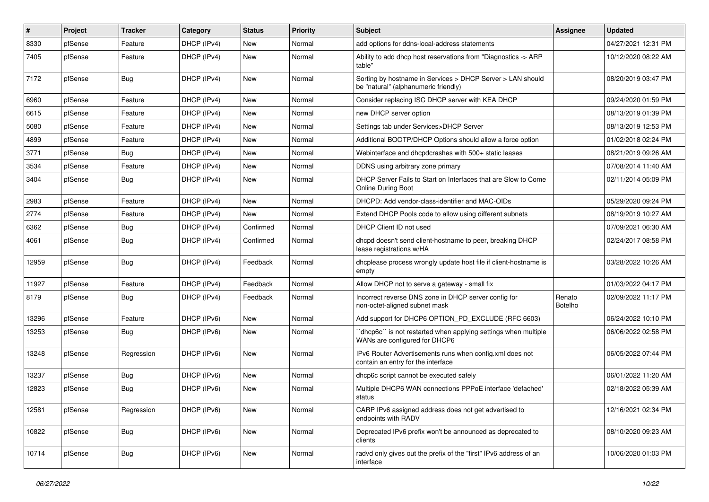| $\pmb{\#}$ | Project | <b>Tracker</b> | Category    | <b>Status</b> | Priority | <b>Subject</b>                                                                                     | <b>Assignee</b>   | <b>Updated</b>      |
|------------|---------|----------------|-------------|---------------|----------|----------------------------------------------------------------------------------------------------|-------------------|---------------------|
| 8330       | pfSense | Feature        | DHCP (IPv4) | New           | Normal   | add options for ddns-local-address statements                                                      |                   | 04/27/2021 12:31 PM |
| 7405       | pfSense | Feature        | DHCP (IPv4) | New           | Normal   | Ability to add dhcp host reservations from "Diagnostics -> ARP<br>table"                           |                   | 10/12/2020 08:22 AM |
| 7172       | pfSense | Bug            | DHCP (IPv4) | <b>New</b>    | Normal   | Sorting by hostname in Services > DHCP Server > LAN should<br>be "natural" (alphanumeric friendly) |                   | 08/20/2019 03:47 PM |
| 6960       | pfSense | Feature        | DHCP (IPv4) | New           | Normal   | Consider replacing ISC DHCP server with KEA DHCP                                                   |                   | 09/24/2020 01:59 PM |
| 6615       | pfSense | Feature        | DHCP (IPv4) | New           | Normal   | new DHCP server option                                                                             |                   | 08/13/2019 01:39 PM |
| 5080       | pfSense | Feature        | DHCP (IPv4) | <b>New</b>    | Normal   | Settings tab under Services>DHCP Server                                                            |                   | 08/13/2019 12:53 PM |
| 4899       | pfSense | Feature        | DHCP (IPv4) | New           | Normal   | Additional BOOTP/DHCP Options should allow a force option                                          |                   | 01/02/2018 02:24 PM |
| 3771       | pfSense | <b>Bug</b>     | DHCP (IPv4) | <b>New</b>    | Normal   | Webinterface and dhcpdcrashes with 500+ static leases                                              |                   | 08/21/2019 09:26 AM |
| 3534       | pfSense | Feature        | DHCP (IPv4) | New           | Normal   | DDNS using arbitrary zone primary                                                                  |                   | 07/08/2014 11:40 AM |
| 3404       | pfSense | <b>Bug</b>     | DHCP (IPv4) | New           | Normal   | DHCP Server Fails to Start on Interfaces that are Slow to Come<br>Online During Boot               |                   | 02/11/2014 05:09 PM |
| 2983       | pfSense | Feature        | DHCP (IPv4) | New           | Normal   | DHCPD: Add vendor-class-identifier and MAC-OIDs                                                    |                   | 05/29/2020 09:24 PM |
| 2774       | pfSense | Feature        | DHCP (IPv4) | New           | Normal   | Extend DHCP Pools code to allow using different subnets                                            |                   | 08/19/2019 10:27 AM |
| 6362       | pfSense | <b>Bug</b>     | DHCP (IPv4) | Confirmed     | Normal   | DHCP Client ID not used                                                                            |                   | 07/09/2021 06:30 AM |
| 4061       | pfSense | Bug            | DHCP (IPv4) | Confirmed     | Normal   | dhcpd doesn't send client-hostname to peer, breaking DHCP<br>lease registrations w/HA              |                   | 02/24/2017 08:58 PM |
| 12959      | pfSense | <b>Bug</b>     | DHCP (IPv4) | Feedback      | Normal   | dhcplease process wrongly update host file if client-hostname is<br>empty                          |                   | 03/28/2022 10:26 AM |
| 11927      | pfSense | Feature        | DHCP (IPv4) | Feedback      | Normal   | Allow DHCP not to serve a gateway - small fix                                                      |                   | 01/03/2022 04:17 PM |
| 8179       | pfSense | Bug            | DHCP (IPv4) | Feedback      | Normal   | Incorrect reverse DNS zone in DHCP server config for<br>non-octet-aligned subnet mask              | Renato<br>Botelho | 02/09/2022 11:17 PM |
| 13296      | pfSense | Feature        | DHCP (IPv6) | <b>New</b>    | Normal   | Add support for DHCP6 OPTION_PD_EXCLUDE (RFC 6603)                                                 |                   | 06/24/2022 10:10 PM |
| 13253      | pfSense | <b>Bug</b>     | DHCP (IPv6) | New           | Normal   | 'dhcp6c' is not restarted when applying settings when multiple<br>WANs are configured for DHCP6    |                   | 06/06/2022 02:58 PM |
| 13248      | pfSense | Regression     | DHCP (IPv6) | <b>New</b>    | Normal   | IPv6 Router Advertisements runs when config.xml does not<br>contain an entry for the interface     |                   | 06/05/2022 07:44 PM |
| 13237      | pfSense | <b>Bug</b>     | DHCP (IPv6) | New           | Normal   | dhcp6c script cannot be executed safely                                                            |                   | 06/01/2022 11:20 AM |
| 12823      | pfSense | <b>Bug</b>     | DHCP (IPv6) | New           | Normal   | Multiple DHCP6 WAN connections PPPoE interface 'defached'<br>status                                |                   | 02/18/2022 05:39 AM |
| 12581      | pfSense | Regression     | DHCP (IPv6) | New           | Normal   | CARP IPv6 assigned address does not get advertised to<br>endpoints with RADV                       |                   | 12/16/2021 02:34 PM |
| 10822      | pfSense | Bug            | DHCP (IPv6) | New           | Normal   | Deprecated IPv6 prefix won't be announced as deprecated to<br>clients                              |                   | 08/10/2020 09:23 AM |
| 10714      | pfSense | <b>Bug</b>     | DHCP (IPv6) | New           | Normal   | radvd only gives out the prefix of the "first" IPv6 address of an<br>interface                     |                   | 10/06/2020 01:03 PM |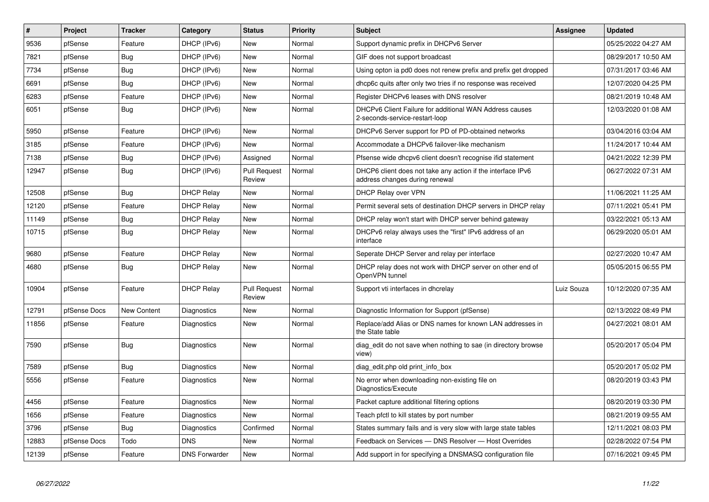| $\vert$ # | Project      | <b>Tracker</b> | Category             | <b>Status</b>                 | <b>Priority</b> | <b>Subject</b>                                                                                | <b>Assignee</b> | <b>Updated</b>      |
|-----------|--------------|----------------|----------------------|-------------------------------|-----------------|-----------------------------------------------------------------------------------------------|-----------------|---------------------|
| 9536      | pfSense      | Feature        | DHCP (IPv6)          | <b>New</b>                    | Normal          | Support dynamic prefix in DHCPv6 Server                                                       |                 | 05/25/2022 04:27 AM |
| 7821      | pfSense      | <b>Bug</b>     | DHCP (IPv6)          | <b>New</b>                    | Normal          | GIF does not support broadcast                                                                |                 | 08/29/2017 10:50 AM |
| 7734      | pfSense      | <b>Bug</b>     | DHCP (IPv6)          | <b>New</b>                    | Normal          | Using opton ia pd0 does not renew prefix and prefix get dropped                               |                 | 07/31/2017 03:46 AM |
| 6691      | pfSense      | Bug            | DHCP (IPv6)          | <b>New</b>                    | Normal          | dhcp6c quits after only two tries if no response was received                                 |                 | 12/07/2020 04:25 PM |
| 6283      | pfSense      | Feature        | DHCP (IPv6)          | New                           | Normal          | Register DHCPv6 leases with DNS resolver                                                      |                 | 08/21/2019 10:48 AM |
| 6051      | pfSense      | <b>Bug</b>     | DHCP (IPv6)          | <b>New</b>                    | Normal          | DHCPv6 Client Failure for additional WAN Address causes<br>2-seconds-service-restart-loop     |                 | 12/03/2020 01:08 AM |
| 5950      | pfSense      | Feature        | DHCP (IPv6)          | <b>New</b>                    | Normal          | DHCPv6 Server support for PD of PD-obtained networks                                          |                 | 03/04/2016 03:04 AM |
| 3185      | pfSense      | Feature        | DHCP (IPv6)          | <b>New</b>                    | Normal          | Accommodate a DHCPv6 failover-like mechanism                                                  |                 | 11/24/2017 10:44 AM |
| 7138      | pfSense      | <b>Bug</b>     | DHCP (IPv6)          | Assigned                      | Normal          | Pfsense wide dhcpv6 client doesn't recognise if id statement                                  |                 | 04/21/2022 12:39 PM |
| 12947     | pfSense      | Bug            | DHCP (IPv6)          | <b>Pull Request</b><br>Review | Normal          | DHCP6 client does not take any action if the interface IPv6<br>address changes during renewal |                 | 06/27/2022 07:31 AM |
| 12508     | pfSense      | Bug            | <b>DHCP Relay</b>    | <b>New</b>                    | Normal          | <b>DHCP Relay over VPN</b>                                                                    |                 | 11/06/2021 11:25 AM |
| 12120     | pfSense      | Feature        | <b>DHCP Relay</b>    | <b>New</b>                    | Normal          | Permit several sets of destination DHCP servers in DHCP relay                                 |                 | 07/11/2021 05:41 PM |
| 11149     | pfSense      | <b>Bug</b>     | <b>DHCP Relay</b>    | <b>New</b>                    | Normal          | DHCP relay won't start with DHCP server behind gateway                                        |                 | 03/22/2021 05:13 AM |
| 10715     | pfSense      | Bug            | <b>DHCP Relay</b>    | New                           | Normal          | DHCPv6 relay always uses the "first" IPv6 address of an<br>interface                          |                 | 06/29/2020 05:01 AM |
| 9680      | pfSense      | Feature        | <b>DHCP Relay</b>    | <b>New</b>                    | Normal          | Seperate DHCP Server and relay per interface                                                  |                 | 02/27/2020 10:47 AM |
| 4680      | pfSense      | <b>Bug</b>     | <b>DHCP Relay</b>    | <b>New</b>                    | Normal          | DHCP relay does not work with DHCP server on other end of<br>OpenVPN tunnel                   |                 | 05/05/2015 06:55 PM |
| 10904     | pfSense      | Feature        | <b>DHCP Relay</b>    | <b>Pull Request</b><br>Review | Normal          | Support vti interfaces in dhcrelay                                                            | Luiz Souza      | 10/12/2020 07:35 AM |
| 12791     | pfSense Docs | New Content    | Diagnostics          | New                           | Normal          | Diagnostic Information for Support (pfSense)                                                  |                 | 02/13/2022 08:49 PM |
| 11856     | pfSense      | Feature        | Diagnostics          | <b>New</b>                    | Normal          | Replace/add Alias or DNS names for known LAN addresses in<br>the State table                  |                 | 04/27/2021 08:01 AM |
| 7590      | pfSense      | <b>Bug</b>     | Diagnostics          | <b>New</b>                    | Normal          | diag_edit do not save when nothing to sae (in directory browse<br>view)                       |                 | 05/20/2017 05:04 PM |
| 7589      | pfSense      | <b>Bug</b>     | Diagnostics          | <b>New</b>                    | Normal          | diag edit.php old print info box                                                              |                 | 05/20/2017 05:02 PM |
| 5556      | pfSense      | Feature        | Diagnostics          | <b>New</b>                    | Normal          | No error when downloading non-existing file on<br>Diagnostics/Execute                         |                 | 08/20/2019 03:43 PM |
| 4456      | pfSense      | Feature        | Diagnostics          | <b>New</b>                    | Normal          | Packet capture additional filtering options                                                   |                 | 08/20/2019 03:30 PM |
| 1656      | pfSense      | Feature        | Diagnostics          | <b>New</b>                    | Normal          | Teach pfctl to kill states by port number                                                     |                 | 08/21/2019 09:55 AM |
| 3796      | pfSense      | Bug            | Diagnostics          | Confirmed                     | Normal          | States summary fails and is very slow with large state tables                                 |                 | 12/11/2021 08:03 PM |
| 12883     | pfSense Docs | Todo           | <b>DNS</b>           | <b>New</b>                    | Normal          | Feedback on Services - DNS Resolver - Host Overrides                                          |                 | 02/28/2022 07:54 PM |
| 12139     | pfSense      | Feature        | <b>DNS Forwarder</b> | <b>New</b>                    | Normal          | Add support in for specifying a DNSMASQ configuration file                                    |                 | 07/16/2021 09:45 PM |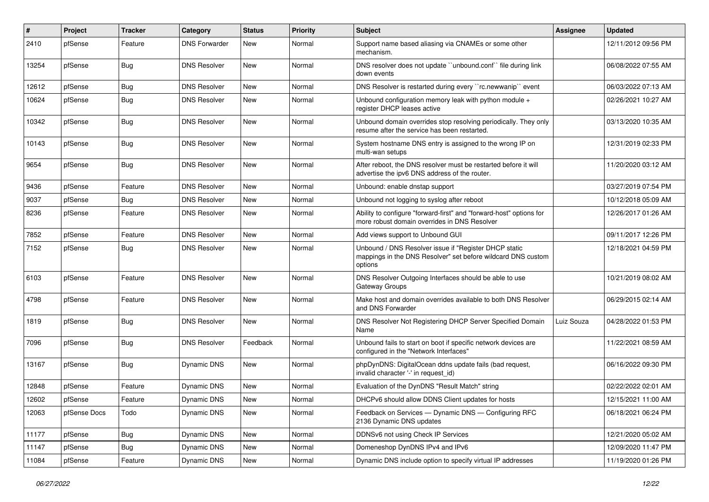| #     | Project      | <b>Tracker</b> | Category             | <b>Status</b> | <b>Priority</b> | Subject                                                                                                                          | Assignee   | <b>Updated</b>      |
|-------|--------------|----------------|----------------------|---------------|-----------------|----------------------------------------------------------------------------------------------------------------------------------|------------|---------------------|
| 2410  | pfSense      | Feature        | <b>DNS Forwarder</b> | New           | Normal          | Support name based aliasing via CNAMEs or some other<br>mechanism.                                                               |            | 12/11/2012 09:56 PM |
| 13254 | pfSense      | <b>Bug</b>     | <b>DNS Resolver</b>  | New           | Normal          | DNS resolver does not update "unbound.conf" file during link<br>down events                                                      |            | 06/08/2022 07:55 AM |
| 12612 | pfSense      | Bug            | <b>DNS Resolver</b>  | <b>New</b>    | Normal          | DNS Resolver is restarted during every "rc.newwanip" event                                                                       |            | 06/03/2022 07:13 AM |
| 10624 | pfSense      | <b>Bug</b>     | <b>DNS Resolver</b>  | New           | Normal          | Unbound configuration memory leak with python module +<br>register DHCP leases active                                            |            | 02/26/2021 10:27 AM |
| 10342 | pfSense      | <b>Bug</b>     | <b>DNS Resolver</b>  | <b>New</b>    | Normal          | Unbound domain overrides stop resolving periodically. They only<br>resume after the service has been restarted.                  |            | 03/13/2020 10:35 AM |
| 10143 | pfSense      | <b>Bug</b>     | <b>DNS Resolver</b>  | <b>New</b>    | Normal          | System hostname DNS entry is assigned to the wrong IP on<br>multi-wan setups                                                     |            | 12/31/2019 02:33 PM |
| 9654  | pfSense      | <b>Bug</b>     | <b>DNS Resolver</b>  | New           | Normal          | After reboot, the DNS resolver must be restarted before it will<br>advertise the ipv6 DNS address of the router.                 |            | 11/20/2020 03:12 AM |
| 9436  | pfSense      | Feature        | <b>DNS Resolver</b>  | New           | Normal          | Unbound: enable dnstap support                                                                                                   |            | 03/27/2019 07:54 PM |
| 9037  | pfSense      | <b>Bug</b>     | <b>DNS Resolver</b>  | New           | Normal          | Unbound not logging to syslog after reboot                                                                                       |            | 10/12/2018 05:09 AM |
| 8236  | pfSense      | Feature        | <b>DNS Resolver</b>  | <b>New</b>    | Normal          | Ability to configure "forward-first" and "forward-host" options for<br>more robust domain overrides in DNS Resolver              |            | 12/26/2017 01:26 AM |
| 7852  | pfSense      | Feature        | <b>DNS Resolver</b>  | New           | Normal          | Add views support to Unbound GUI                                                                                                 |            | 09/11/2017 12:26 PM |
| 7152  | pfSense      | <b>Bug</b>     | <b>DNS Resolver</b>  | New           | Normal          | Unbound / DNS Resolver issue if "Register DHCP static<br>mappings in the DNS Resolver" set before wildcard DNS custom<br>options |            | 12/18/2021 04:59 PM |
| 6103  | pfSense      | Feature        | <b>DNS Resolver</b>  | New           | Normal          | DNS Resolver Outgoing Interfaces should be able to use<br>Gateway Groups                                                         |            | 10/21/2019 08:02 AM |
| 4798  | pfSense      | Feature        | <b>DNS Resolver</b>  | <b>New</b>    | Normal          | Make host and domain overrides available to both DNS Resolver<br>and DNS Forwarder                                               |            | 06/29/2015 02:14 AM |
| 1819  | pfSense      | <b>Bug</b>     | <b>DNS Resolver</b>  | New           | Normal          | DNS Resolver Not Registering DHCP Server Specified Domain<br>Name                                                                | Luiz Souza | 04/28/2022 01:53 PM |
| 7096  | pfSense      | <b>Bug</b>     | <b>DNS Resolver</b>  | Feedback      | Normal          | Unbound fails to start on boot if specific network devices are<br>configured in the "Network Interfaces"                         |            | 11/22/2021 08:59 AM |
| 13167 | pfSense      | <b>Bug</b>     | Dynamic DNS          | <b>New</b>    | Normal          | phpDynDNS: DigitalOcean ddns update fails (bad request,<br>invalid character '-' in request id)                                  |            | 06/16/2022 09:30 PM |
| 12848 | pfSense      | Feature        | Dynamic DNS          | New           | Normal          | Evaluation of the DynDNS "Result Match" string                                                                                   |            | 02/22/2022 02:01 AM |
| 12602 | pfSense      | Feature        | Dynamic DNS          | New           | Normal          | DHCPv6 should allow DDNS Client updates for hosts                                                                                |            | 12/15/2021 11:00 AM |
| 12063 | pfSense Docs | Todo           | Dynamic DNS          | New           | Normal          | Feedback on Services - Dynamic DNS - Configuring RFC<br>2136 Dynamic DNS updates                                                 |            | 06/18/2021 06:24 PM |
| 11177 | pfSense      | <b>Bug</b>     | Dynamic DNS          | New           | Normal          | DDNSv6 not using Check IP Services                                                                                               |            | 12/21/2020 05:02 AM |
| 11147 | pfSense      | Bug            | Dynamic DNS          | New           | Normal          | Domeneshop DynDNS IPv4 and IPv6                                                                                                  |            | 12/09/2020 11:47 PM |
| 11084 | pfSense      | Feature        | Dynamic DNS          | New           | Normal          | Dynamic DNS include option to specify virtual IP addresses                                                                       |            | 11/19/2020 01:26 PM |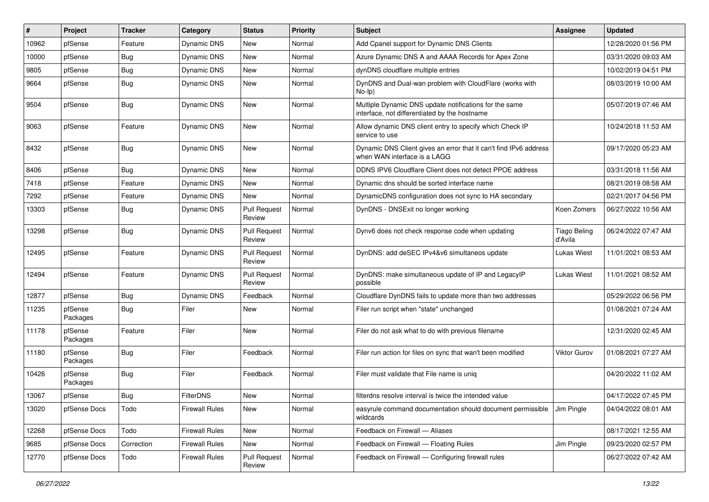| #     | Project             | <b>Tracker</b> | Category              | <b>Status</b>                 | Priority | <b>Subject</b>                                                                                          | <b>Assignee</b>                | <b>Updated</b>      |
|-------|---------------------|----------------|-----------------------|-------------------------------|----------|---------------------------------------------------------------------------------------------------------|--------------------------------|---------------------|
| 10962 | pfSense             | Feature        | Dynamic DNS           | New                           | Normal   | Add Cpanel support for Dynamic DNS Clients                                                              |                                | 12/28/2020 01:56 PM |
| 10000 | pfSense             | <b>Bug</b>     | Dynamic DNS           | <b>New</b>                    | Normal   | Azure Dynamic DNS A and AAAA Records for Apex Zone                                                      |                                | 03/31/2020 09:03 AM |
| 9805  | pfSense             | <b>Bug</b>     | Dynamic DNS           | New                           | Normal   | dynDNS cloudflare multiple entries                                                                      |                                | 10/02/2019 04:51 PM |
| 9664  | pfSense             | Bug            | Dynamic DNS           | <b>New</b>                    | Normal   | DynDNS and Dual-wan problem with CloudFlare (works with<br>No-Ip)                                       |                                | 08/03/2019 10:00 AM |
| 9504  | pfSense             | <b>Bug</b>     | Dynamic DNS           | New                           | Normal   | Multiple Dynamic DNS update notifications for the same<br>interface, not differentiated by the hostname |                                | 05/07/2019 07:46 AM |
| 9063  | pfSense             | Feature        | <b>Dynamic DNS</b>    | <b>New</b>                    | Normal   | Allow dynamic DNS client entry to specify which Check IP<br>service to use                              |                                | 10/24/2018 11:53 AM |
| 8432  | pfSense             | <b>Bug</b>     | Dynamic DNS           | New                           | Normal   | Dynamic DNS Client gives an error that it can't find IPv6 address<br>when WAN interface is a LAGG       |                                | 09/17/2020 05:23 AM |
| 8406  | pfSense             | Bug            | Dynamic DNS           | New                           | Normal   | DDNS IPV6 Cloudflare Client does not detect PPOE address                                                |                                | 03/31/2018 11:56 AM |
| 7418  | pfSense             | Feature        | <b>Dynamic DNS</b>    | <b>New</b>                    | Normal   | Dynamic dns should be sorted interface name                                                             |                                | 08/21/2019 08:58 AM |
| 7292  | pfSense             | Feature        | Dynamic DNS           | New                           | Normal   | DynamicDNS configuration does not sync to HA secondary                                                  |                                | 02/21/2017 04:56 PM |
| 13303 | pfSense             | <b>Bug</b>     | Dynamic DNS           | <b>Pull Request</b><br>Review | Normal   | DynDNS - DNSExit no longer working                                                                      | Koen Zomers                    | 06/27/2022 10:56 AM |
| 13298 | pfSense             | <b>Bug</b>     | Dynamic DNS           | <b>Pull Request</b><br>Review | Normal   | Dynv6 does not check response code when updating                                                        | <b>Tiago Beling</b><br>d'Avila | 06/24/2022 07:47 AM |
| 12495 | pfSense             | Feature        | <b>Dynamic DNS</b>    | <b>Pull Request</b><br>Review | Normal   | DynDNS: add deSEC IPv4&v6 simultaneos update                                                            | <b>Lukas Wiest</b>             | 11/01/2021 08:53 AM |
| 12494 | pfSense             | Feature        | <b>Dynamic DNS</b>    | <b>Pull Request</b><br>Review | Normal   | DynDNS: make simultaneous update of IP and LegacyIP<br>possible                                         | <b>Lukas Wiest</b>             | 11/01/2021 08:52 AM |
| 12877 | pfSense             | <b>Bug</b>     | Dynamic DNS           | Feedback                      | Normal   | Cloudflare DynDNS fails to update more than two addresses                                               |                                | 05/29/2022 06:56 PM |
| 11235 | pfSense<br>Packages | <b>Bug</b>     | Filer                 | New                           | Normal   | Filer run script when "state" unchanged                                                                 |                                | 01/08/2021 07:24 AM |
| 11178 | pfSense<br>Packages | Feature        | Filer                 | New                           | Normal   | Filer do not ask what to do with previous filename                                                      |                                | 12/31/2020 02:45 AM |
| 11180 | pfSense<br>Packages | <b>Bug</b>     | Filer                 | Feedback                      | Normal   | Filer run action for files on sync that wan't been modified                                             | Viktor Gurov                   | 01/08/2021 07:27 AM |
| 10426 | pfSense<br>Packages | <b>Bug</b>     | Filer                 | Feedback                      | Normal   | Filer must validate that File name is uniq                                                              |                                | 04/20/2022 11:02 AM |
| 13067 | pfSense             | <b>Bug</b>     | <b>FilterDNS</b>      | New                           | Normal   | filterdns resolve interval is twice the intended value                                                  |                                | 04/17/2022 07:45 PM |
| 13020 | pfSense Docs        | Todo           | <b>Firewall Rules</b> | <b>New</b>                    | Normal   | easyrule command documentation should document permissible<br>wildcards                                 | Jim Pingle                     | 04/04/2022 08:01 AM |
| 12268 | pfSense Docs        | Todo           | <b>Firewall Rules</b> | New                           | Normal   | Feedback on Firewall - Aliases                                                                          |                                | 08/17/2021 12:55 AM |
| 9685  | pfSense Docs        | Correction     | <b>Firewall Rules</b> | New                           | Normal   | Feedback on Firewall - Floating Rules                                                                   | Jim Pingle                     | 09/23/2020 02:57 PM |
| 12770 | pfSense Docs        | Todo           | <b>Firewall Rules</b> | <b>Pull Request</b><br>Review | Normal   | Feedback on Firewall - Configuring firewall rules                                                       |                                | 06/27/2022 07:42 AM |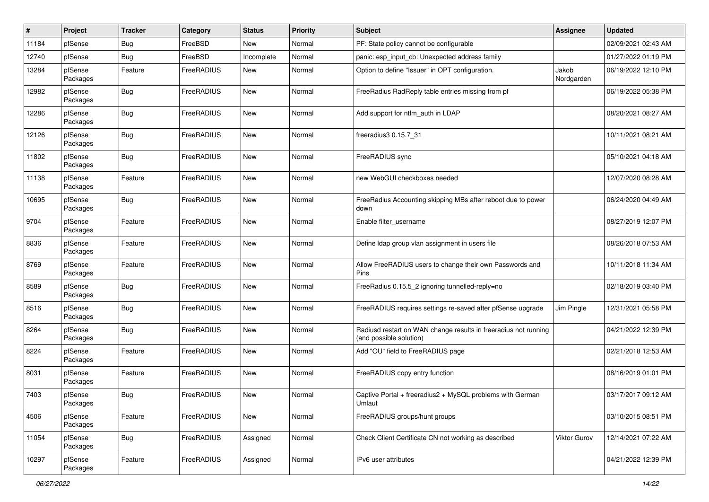| #     | Project             | <b>Tracker</b> | Category   | <b>Status</b> | Priority | Subject                                                                                    | <b>Assignee</b>     | <b>Updated</b>      |
|-------|---------------------|----------------|------------|---------------|----------|--------------------------------------------------------------------------------------------|---------------------|---------------------|
| 11184 | pfSense             | Bug            | FreeBSD    | New           | Normal   | PF: State policy cannot be configurable                                                    |                     | 02/09/2021 02:43 AM |
| 12740 | pfSense             | <b>Bug</b>     | FreeBSD    | Incomplete    | Normal   | panic: esp_input_cb: Unexpected address family                                             |                     | 01/27/2022 01:19 PM |
| 13284 | pfSense<br>Packages | Feature        | FreeRADIUS | New           | Normal   | Option to define "Issuer" in OPT configuration.                                            | Jakob<br>Nordgarden | 06/19/2022 12:10 PM |
| 12982 | pfSense<br>Packages | <b>Bug</b>     | FreeRADIUS | <b>New</b>    | Normal   | FreeRadius RadReply table entries missing from pf                                          |                     | 06/19/2022 05:38 PM |
| 12286 | pfSense<br>Packages | <b>Bug</b>     | FreeRADIUS | New           | Normal   | Add support for ntlm auth in LDAP                                                          |                     | 08/20/2021 08:27 AM |
| 12126 | pfSense<br>Packages | <b>Bug</b>     | FreeRADIUS | New           | Normal   | freeradius3 0.15.7 31                                                                      |                     | 10/11/2021 08:21 AM |
| 11802 | pfSense<br>Packages | <b>Bug</b>     | FreeRADIUS | <b>New</b>    | Normal   | FreeRADIUS sync                                                                            |                     | 05/10/2021 04:18 AM |
| 11138 | pfSense<br>Packages | Feature        | FreeRADIUS | <b>New</b>    | Normal   | new WebGUI checkboxes needed                                                               |                     | 12/07/2020 08:28 AM |
| 10695 | pfSense<br>Packages | <b>Bug</b>     | FreeRADIUS | <b>New</b>    | Normal   | FreeRadius Accounting skipping MBs after reboot due to power<br>down                       |                     | 06/24/2020 04:49 AM |
| 9704  | pfSense<br>Packages | Feature        | FreeRADIUS | <b>New</b>    | Normal   | Enable filter_username                                                                     |                     | 08/27/2019 12:07 PM |
| 8836  | pfSense<br>Packages | Feature        | FreeRADIUS | <b>New</b>    | Normal   | Define Idap group vlan assignment in users file                                            |                     | 08/26/2018 07:53 AM |
| 8769  | pfSense<br>Packages | Feature        | FreeRADIUS | New           | Normal   | Allow FreeRADIUS users to change their own Passwords and<br>Pins                           |                     | 10/11/2018 11:34 AM |
| 8589  | pfSense<br>Packages | <b>Bug</b>     | FreeRADIUS | <b>New</b>    | Normal   | FreeRadius 0.15.5 2 ignoring tunnelled-reply=no                                            |                     | 02/18/2019 03:40 PM |
| 8516  | pfSense<br>Packages | <b>Bug</b>     | FreeRADIUS | <b>New</b>    | Normal   | FreeRADIUS requires settings re-saved after pfSense upgrade                                | Jim Pingle          | 12/31/2021 05:58 PM |
| 8264  | pfSense<br>Packages | <b>Bug</b>     | FreeRADIUS | <b>New</b>    | Normal   | Radiusd restart on WAN change results in freeradius not running<br>(and possible solution) |                     | 04/21/2022 12:39 PM |
| 8224  | pfSense<br>Packages | Feature        | FreeRADIUS | <b>New</b>    | Normal   | Add "OU" field to FreeRADIUS page                                                          |                     | 02/21/2018 12:53 AM |
| 8031  | pfSense<br>Packages | Feature        | FreeRADIUS | <b>New</b>    | Normal   | FreeRADIUS copy entry function                                                             |                     | 08/16/2019 01:01 PM |
| 7403  | pfSense<br>Packages | <b>Bug</b>     | FreeRADIUS | New           | Normal   | Captive Portal + freeradius2 + MySQL problems with German<br>Umlaut                        |                     | 03/17/2017 09:12 AM |
| 4506  | pfSense<br>Packages | Feature        | FreeRADIUS | <b>New</b>    | Normal   | FreeRADIUS groups/hunt groups                                                              |                     | 03/10/2015 08:51 PM |
| 11054 | pfSense<br>Packages | Bug            | FreeRADIUS | Assigned      | Normal   | Check Client Certificate CN not working as described                                       | <b>Viktor Gurov</b> | 12/14/2021 07:22 AM |
| 10297 | pfSense<br>Packages | Feature        | FreeRADIUS | Assigned      | Normal   | IPv6 user attributes                                                                       |                     | 04/21/2022 12:39 PM |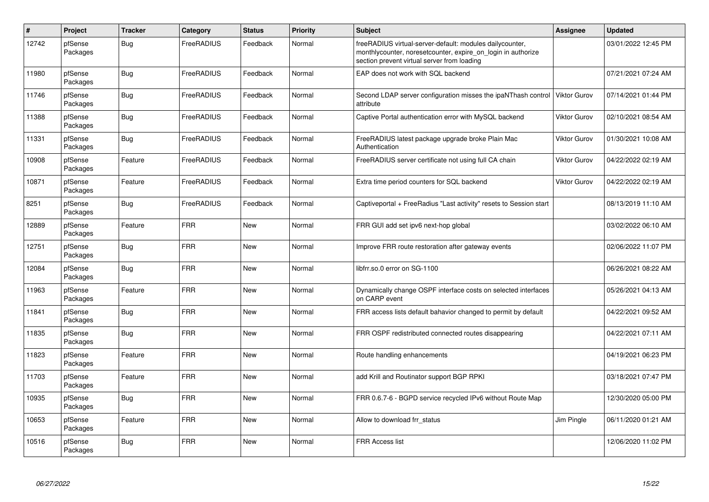| $\pmb{\#}$ | Project             | <b>Tracker</b> | Category          | <b>Status</b> | <b>Priority</b> | <b>Subject</b>                                                                                                                                                          | <b>Assignee</b>     | <b>Updated</b>      |
|------------|---------------------|----------------|-------------------|---------------|-----------------|-------------------------------------------------------------------------------------------------------------------------------------------------------------------------|---------------------|---------------------|
| 12742      | pfSense<br>Packages | Bug            | FreeRADIUS        | Feedback      | Normal          | freeRADIUS virtual-server-default: modules dailycounter,<br>monthlycounter, noresetcounter, expire_on_login in authorize<br>section prevent virtual server from loading |                     | 03/01/2022 12:45 PM |
| 11980      | pfSense<br>Packages | Bug            | <b>FreeRADIUS</b> | Feedback      | Normal          | EAP does not work with SQL backend                                                                                                                                      |                     | 07/21/2021 07:24 AM |
| 11746      | pfSense<br>Packages | Bug            | FreeRADIUS        | Feedback      | Normal          | Second LDAP server configuration misses the ipaNThash control<br>attribute                                                                                              | <b>Viktor Gurov</b> | 07/14/2021 01:44 PM |
| 11388      | pfSense<br>Packages | <b>Bug</b>     | FreeRADIUS        | Feedback      | Normal          | Captive Portal authentication error with MySQL backend                                                                                                                  | Viktor Gurov        | 02/10/2021 08:54 AM |
| 11331      | pfSense<br>Packages | <b>Bug</b>     | <b>FreeRADIUS</b> | Feedback      | Normal          | FreeRADIUS latest package upgrade broke Plain Mac<br>Authentication                                                                                                     | <b>Viktor Gurov</b> | 01/30/2021 10:08 AM |
| 10908      | pfSense<br>Packages | Feature        | <b>FreeRADIUS</b> | Feedback      | Normal          | FreeRADIUS server certificate not using full CA chain                                                                                                                   | Viktor Gurov        | 04/22/2022 02:19 AM |
| 10871      | pfSense<br>Packages | Feature        | FreeRADIUS        | Feedback      | Normal          | Extra time period counters for SQL backend                                                                                                                              | <b>Viktor Gurov</b> | 04/22/2022 02:19 AM |
| 8251       | pfSense<br>Packages | <b>Bug</b>     | <b>FreeRADIUS</b> | Feedback      | Normal          | Captiveportal + FreeRadius "Last activity" resets to Session start                                                                                                      |                     | 08/13/2019 11:10 AM |
| 12889      | pfSense<br>Packages | Feature        | <b>FRR</b>        | <b>New</b>    | Normal          | FRR GUI add set ipv6 next-hop global                                                                                                                                    |                     | 03/02/2022 06:10 AM |
| 12751      | pfSense<br>Packages | Bug            | <b>FRR</b>        | <b>New</b>    | Normal          | Improve FRR route restoration after gateway events                                                                                                                      |                     | 02/06/2022 11:07 PM |
| 12084      | pfSense<br>Packages | <b>Bug</b>     | <b>FRR</b>        | New           | Normal          | libfrr.so.0 error on SG-1100                                                                                                                                            |                     | 06/26/2021 08:22 AM |
| 11963      | pfSense<br>Packages | Feature        | <b>FRR</b>        | <b>New</b>    | Normal          | Dynamically change OSPF interface costs on selected interfaces<br>on CARP event                                                                                         |                     | 05/26/2021 04:13 AM |
| 11841      | pfSense<br>Packages | <b>Bug</b>     | FRR               | New           | Normal          | FRR access lists default bahavior changed to permit by default                                                                                                          |                     | 04/22/2021 09:52 AM |
| 11835      | pfSense<br>Packages | Bug            | <b>FRR</b>        | New           | Normal          | FRR OSPF redistributed connected routes disappearing                                                                                                                    |                     | 04/22/2021 07:11 AM |
| 11823      | pfSense<br>Packages | Feature        | <b>FRR</b>        | <b>New</b>    | Normal          | Route handling enhancements                                                                                                                                             |                     | 04/19/2021 06:23 PM |
| 11703      | pfSense<br>Packages | Feature        | <b>FRR</b>        | New           | Normal          | add Krill and Routinator support BGP RPKI                                                                                                                               |                     | 03/18/2021 07:47 PM |
| 10935      | pfSense<br>Packages | Bug            | <b>FRR</b>        | New           | Normal          | FRR 0.6.7-6 - BGPD service recycled IPv6 without Route Map                                                                                                              |                     | 12/30/2020 05:00 PM |
| 10653      | pfSense<br>Packages | Feature        | <b>FRR</b>        | New           | Normal          | Allow to download frr_status                                                                                                                                            | Jim Pingle          | 06/11/2020 01:21 AM |
| 10516      | pfSense<br>Packages | <b>Bug</b>     | <b>FRR</b>        | <b>New</b>    | Normal          | <b>FRR Access list</b>                                                                                                                                                  |                     | 12/06/2020 11:02 PM |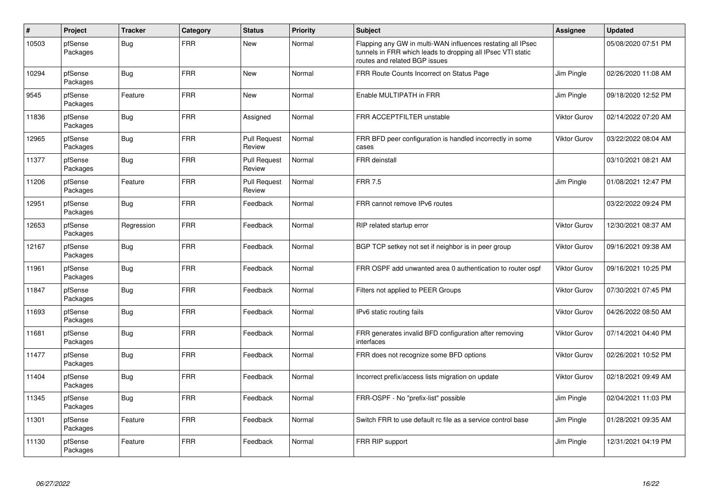| #     | Project             | <b>Tracker</b> | Category   | <b>Status</b>                 | Priority | <b>Subject</b>                                                                                                                                              | <b>Assignee</b>     | <b>Updated</b>      |
|-------|---------------------|----------------|------------|-------------------------------|----------|-------------------------------------------------------------------------------------------------------------------------------------------------------------|---------------------|---------------------|
| 10503 | pfSense<br>Packages | <b>Bug</b>     | <b>FRR</b> | <b>New</b>                    | Normal   | Flapping any GW in multi-WAN influences restating all IPsec<br>tunnels in FRR which leads to dropping all IPsec VTI static<br>routes and related BGP issues |                     | 05/08/2020 07:51 PM |
| 10294 | pfSense<br>Packages | <b>Bug</b>     | <b>FRR</b> | <b>New</b>                    | Normal   | FRR Route Counts Incorrect on Status Page                                                                                                                   | Jim Pingle          | 02/26/2020 11:08 AM |
| 9545  | pfSense<br>Packages | Feature        | <b>FRR</b> | <b>New</b>                    | Normal   | Enable MULTIPATH in FRR                                                                                                                                     | Jim Pingle          | 09/18/2020 12:52 PM |
| 11836 | pfSense<br>Packages | Bug            | <b>FRR</b> | Assigned                      | Normal   | FRR ACCEPTFILTER unstable                                                                                                                                   | Viktor Gurov        | 02/14/2022 07:20 AM |
| 12965 | pfSense<br>Packages | <b>Bug</b>     | <b>FRR</b> | <b>Pull Request</b><br>Review | Normal   | FRR BFD peer configuration is handled incorrectly in some<br>cases                                                                                          | Viktor Gurov        | 03/22/2022 08:04 AM |
| 11377 | pfSense<br>Packages | Bug            | <b>FRR</b> | <b>Pull Request</b><br>Review | Normal   | FRR deinstall                                                                                                                                               |                     | 03/10/2021 08:21 AM |
| 11206 | pfSense<br>Packages | Feature        | <b>FRR</b> | <b>Pull Request</b><br>Review | Normal   | <b>FRR 7.5</b>                                                                                                                                              | Jim Pingle          | 01/08/2021 12:47 PM |
| 12951 | pfSense<br>Packages | <b>Bug</b>     | <b>FRR</b> | Feedback                      | Normal   | FRR cannot remove IPv6 routes                                                                                                                               |                     | 03/22/2022 09:24 PM |
| 12653 | pfSense<br>Packages | Regression     | <b>FRR</b> | Feedback                      | Normal   | RIP related startup error                                                                                                                                   | Viktor Gurov        | 12/30/2021 08:37 AM |
| 12167 | pfSense<br>Packages | <b>Bug</b>     | <b>FRR</b> | Feedback                      | Normal   | BGP TCP setkey not set if neighbor is in peer group                                                                                                         | Viktor Gurov        | 09/16/2021 09:38 AM |
| 11961 | pfSense<br>Packages | <b>Bug</b>     | <b>FRR</b> | Feedback                      | Normal   | FRR OSPF add unwanted area 0 authentication to router ospf                                                                                                  | Viktor Gurov        | 09/16/2021 10:25 PM |
| 11847 | pfSense<br>Packages | <b>Bug</b>     | <b>FRR</b> | Feedback                      | Normal   | Filters not applied to PEER Groups                                                                                                                          | Viktor Gurov        | 07/30/2021 07:45 PM |
| 11693 | pfSense<br>Packages | <b>Bug</b>     | <b>FRR</b> | Feedback                      | Normal   | IPv6 static routing fails                                                                                                                                   | Viktor Gurov        | 04/26/2022 08:50 AM |
| 11681 | pfSense<br>Packages | <b>Bug</b>     | <b>FRR</b> | Feedback                      | Normal   | FRR generates invalid BFD configuration after removing<br>interfaces                                                                                        | Viktor Gurov        | 07/14/2021 04:40 PM |
| 11477 | pfSense<br>Packages | Bug            | <b>FRR</b> | Feedback                      | Normal   | FRR does not recognize some BFD options                                                                                                                     | Viktor Gurov        | 02/26/2021 10:52 PM |
| 11404 | pfSense<br>Packages | <b>Bug</b>     | <b>FRR</b> | Feedback                      | Normal   | Incorrect prefix/access lists migration on update                                                                                                           | <b>Viktor Gurov</b> | 02/18/2021 09:49 AM |
| 11345 | pfSense<br>Packages | <b>Bug</b>     | <b>FRR</b> | Feedback                      | Normal   | FRR-OSPF - No "prefix-list" possible                                                                                                                        | Jim Pingle          | 02/04/2021 11:03 PM |
| 11301 | pfSense<br>Packages | Feature        | <b>FRR</b> | Feedback                      | Normal   | Switch FRR to use default rc file as a service control base                                                                                                 | Jim Pingle          | 01/28/2021 09:35 AM |
| 11130 | pfSense<br>Packages | Feature        | <b>FRR</b> | Feedback                      | Normal   | FRR RIP support                                                                                                                                             | Jim Pingle          | 12/31/2021 04:19 PM |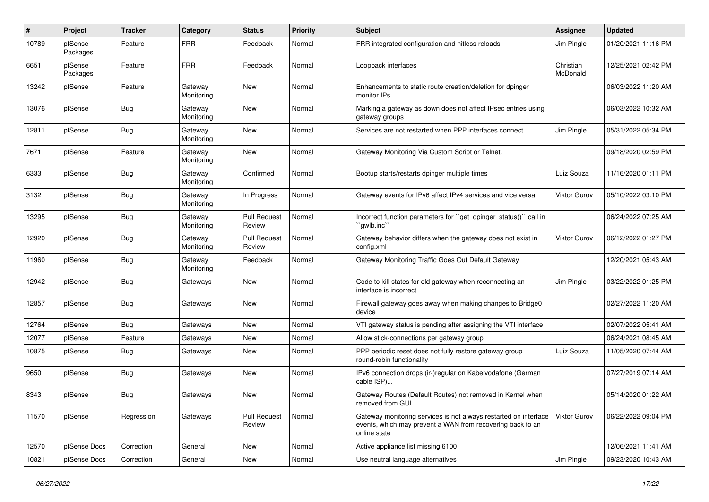| $\pmb{\#}$ | Project             | <b>Tracker</b> | Category              | <b>Status</b>                 | <b>Priority</b> | <b>Subject</b>                                                                                                                                 | <b>Assignee</b>       | <b>Updated</b>      |
|------------|---------------------|----------------|-----------------------|-------------------------------|-----------------|------------------------------------------------------------------------------------------------------------------------------------------------|-----------------------|---------------------|
| 10789      | pfSense<br>Packages | Feature        | <b>FRR</b>            | Feedback                      | Normal          | FRR integrated configuration and hitless reloads                                                                                               | Jim Pingle            | 01/20/2021 11:16 PM |
| 6651       | pfSense<br>Packages | Feature        | <b>FRR</b>            | Feedback                      | Normal          | Loopback interfaces                                                                                                                            | Christian<br>McDonald | 12/25/2021 02:42 PM |
| 13242      | pfSense             | Feature        | Gateway<br>Monitoring | <b>New</b>                    | Normal          | Enhancements to static route creation/deletion for dpinger<br>monitor IPs                                                                      |                       | 06/03/2022 11:20 AM |
| 13076      | pfSense             | <b>Bug</b>     | Gateway<br>Monitoring | New                           | Normal          | Marking a gateway as down does not affect IPsec entries using<br>gateway groups                                                                |                       | 06/03/2022 10:32 AM |
| 12811      | pfSense             | <b>Bug</b>     | Gateway<br>Monitoring | New                           | Normal          | Services are not restarted when PPP interfaces connect                                                                                         | Jim Pingle            | 05/31/2022 05:34 PM |
| 7671       | pfSense             | Feature        | Gateway<br>Monitoring | New                           | Normal          | Gateway Monitoring Via Custom Script or Telnet.                                                                                                |                       | 09/18/2020 02:59 PM |
| 6333       | pfSense             | Bug            | Gateway<br>Monitoring | Confirmed                     | Normal          | Bootup starts/restarts dpinger multiple times                                                                                                  | Luiz Souza            | 11/16/2020 01:11 PM |
| 3132       | pfSense             | <b>Bug</b>     | Gateway<br>Monitoring | In Progress                   | Normal          | Gateway events for IPv6 affect IPv4 services and vice versa                                                                                    | <b>Viktor Gurov</b>   | 05/10/2022 03:10 PM |
| 13295      | pfSense             | <b>Bug</b>     | Gateway<br>Monitoring | <b>Pull Request</b><br>Review | Normal          | Incorrect function parameters for "get_dpinger_status()" call in<br>`gwlb.inc`                                                                 |                       | 06/24/2022 07:25 AM |
| 12920      | pfSense             | <b>Bug</b>     | Gateway<br>Monitoring | <b>Pull Request</b><br>Review | Normal          | Gateway behavior differs when the gateway does not exist in<br>config.xml                                                                      | Viktor Gurov          | 06/12/2022 01:27 PM |
| 11960      | pfSense             | <b>Bug</b>     | Gateway<br>Monitoring | Feedback                      | Normal          | Gateway Monitoring Traffic Goes Out Default Gateway                                                                                            |                       | 12/20/2021 05:43 AM |
| 12942      | pfSense             | <b>Bug</b>     | Gateways              | New                           | Normal          | Code to kill states for old gateway when reconnecting an<br>interface is incorrect                                                             | Jim Pingle            | 03/22/2022 01:25 PM |
| 12857      | pfSense             | Bug            | Gateways              | New                           | Normal          | Firewall gateway goes away when making changes to Bridge0<br>device                                                                            |                       | 02/27/2022 11:20 AM |
| 12764      | pfSense             | <b>Bug</b>     | Gateways              | <b>New</b>                    | Normal          | VTI gateway status is pending after assigning the VTI interface                                                                                |                       | 02/07/2022 05:41 AM |
| 12077      | pfSense             | Feature        | Gateways              | New                           | Normal          | Allow stick-connections per gateway group                                                                                                      |                       | 06/24/2021 08:45 AM |
| 10875      | pfSense             | <b>Bug</b>     | Gateways              | New                           | Normal          | PPP periodic reset does not fully restore gateway group<br>round-robin functionality                                                           | Luiz Souza            | 11/05/2020 07:44 AM |
| 9650       | pfSense             | <b>Bug</b>     | Gateways              | New                           | Normal          | IPv6 connection drops (ir-)regular on Kabelvodafone (German<br>cable ISP)                                                                      |                       | 07/27/2019 07:14 AM |
| 8343       | pfSense             | <b>Bug</b>     | Gateways              | New                           | Normal          | Gateway Routes (Default Routes) not removed in Kernel when<br>removed trom GUI                                                                 |                       | 05/14/2020 01:22 AM |
| 11570      | pfSense             | Regression     | Gateways              | <b>Pull Request</b><br>Review | Normal          | Gateway monitoring services is not always restarted on interface<br>events, which may prevent a WAN from recovering back to an<br>online state | <b>Viktor Gurov</b>   | 06/22/2022 09:04 PM |
| 12570      | pfSense Docs        | Correction     | General               | New                           | Normal          | Active appliance list missing 6100                                                                                                             |                       | 12/06/2021 11:41 AM |
| 10821      | pfSense Docs        | Correction     | General               | New                           | Normal          | Use neutral language alternatives                                                                                                              | Jim Pingle            | 09/23/2020 10:43 AM |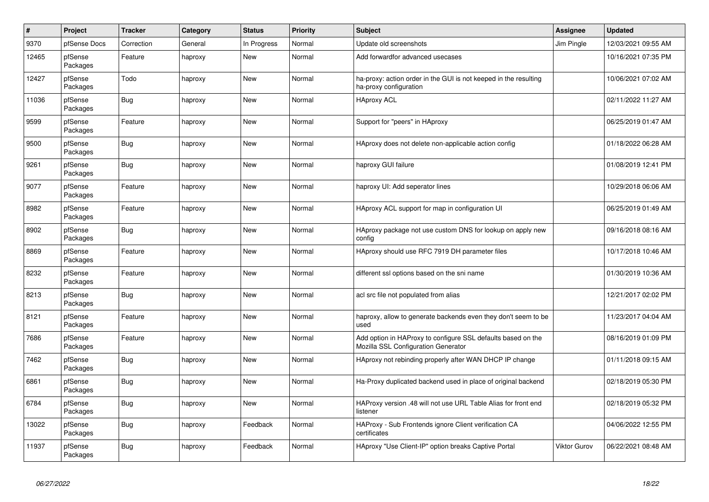| $\vert$ # | <b>Project</b>      | <b>Tracker</b> | Category | <b>Status</b> | <b>Priority</b> | <b>Subject</b>                                                                                      | Assignee     | <b>Updated</b>      |
|-----------|---------------------|----------------|----------|---------------|-----------------|-----------------------------------------------------------------------------------------------------|--------------|---------------------|
| 9370      | pfSense Docs        | Correction     | General  | In Progress   | Normal          | Update old screenshots                                                                              | Jim Pingle   | 12/03/2021 09:55 AM |
| 12465     | pfSense<br>Packages | Feature        | haproxy  | <b>New</b>    | Normal          | Add forwardfor advanced usecases                                                                    |              | 10/16/2021 07:35 PM |
| 12427     | pfSense<br>Packages | Todo           | haproxy  | New           | Normal          | ha-proxy: action order in the GUI is not keeped in the resulting<br>ha-proxy configuration          |              | 10/06/2021 07:02 AM |
| 11036     | pfSense<br>Packages | Bug            | haproxy  | New           | Normal          | <b>HAproxy ACL</b>                                                                                  |              | 02/11/2022 11:27 AM |
| 9599      | pfSense<br>Packages | Feature        | haproxy  | <b>New</b>    | Normal          | Support for "peers" in HAproxy                                                                      |              | 06/25/2019 01:47 AM |
| 9500      | pfSense<br>Packages | Bug            | haproxy  | New           | Normal          | HAproxy does not delete non-applicable action config                                                |              | 01/18/2022 06:28 AM |
| 9261      | pfSense<br>Packages | <b>Bug</b>     | haproxy  | New           | Normal          | haproxy GUI failure                                                                                 |              | 01/08/2019 12:41 PM |
| 9077      | pfSense<br>Packages | Feature        | haproxy  | New           | Normal          | haproxy UI: Add seperator lines                                                                     |              | 10/29/2018 06:06 AM |
| 8982      | pfSense<br>Packages | Feature        | haproxy  | <b>New</b>    | Normal          | HAproxy ACL support for map in configuration UI                                                     |              | 06/25/2019 01:49 AM |
| 8902      | pfSense<br>Packages | Bug            | haproxy  | New           | Normal          | HAproxy package not use custom DNS for lookup on apply new<br>config                                |              | 09/16/2018 08:16 AM |
| 8869      | pfSense<br>Packages | Feature        | haproxy  | <b>New</b>    | Normal          | HAproxy should use RFC 7919 DH parameter files                                                      |              | 10/17/2018 10:46 AM |
| 8232      | pfSense<br>Packages | Feature        | haproxy  | New           | Normal          | different ssl options based on the sni name                                                         |              | 01/30/2019 10:36 AM |
| 8213      | pfSense<br>Packages | Bug            | haproxy  | <b>New</b>    | Normal          | acl src file not populated from alias                                                               |              | 12/21/2017 02:02 PM |
| 8121      | pfSense<br>Packages | Feature        | haproxy  | New           | Normal          | haproxy, allow to generate backends even they don't seem to be<br>used                              |              | 11/23/2017 04:04 AM |
| 7686      | pfSense<br>Packages | Feature        | haproxy  | <b>New</b>    | Normal          | Add option in HAProxy to configure SSL defaults based on the<br>Mozilla SSL Configuration Generator |              | 08/16/2019 01:09 PM |
| 7462      | pfSense<br>Packages | <b>Bug</b>     | haproxy  | <b>New</b>    | Normal          | HAproxy not rebinding properly after WAN DHCP IP change                                             |              | 01/11/2018 09:15 AM |
| 6861      | pfSense<br>Packages | <b>Bug</b>     | haproxy  | New           | Normal          | Ha-Proxy duplicated backend used in place of original backend                                       |              | 02/18/2019 05:30 PM |
| 6784      | pfSense<br>Packages | Bug            | haproxy  | New           | Normal          | HAProxy version .48 will not use URL Table Alias for front end<br>listener                          |              | 02/18/2019 05:32 PM |
| 13022     | pfSense<br>Packages | Bug            | haproxy  | Feedback      | Normal          | HAProxy - Sub Frontends ignore Client verification CA<br>certificates                               |              | 04/06/2022 12:55 PM |
| 11937     | pfSense<br>Packages | <b>Bug</b>     | haproxy  | Feedback      | Normal          | HAproxy "Use Client-IP" option breaks Captive Portal                                                | Viktor Gurov | 06/22/2021 08:48 AM |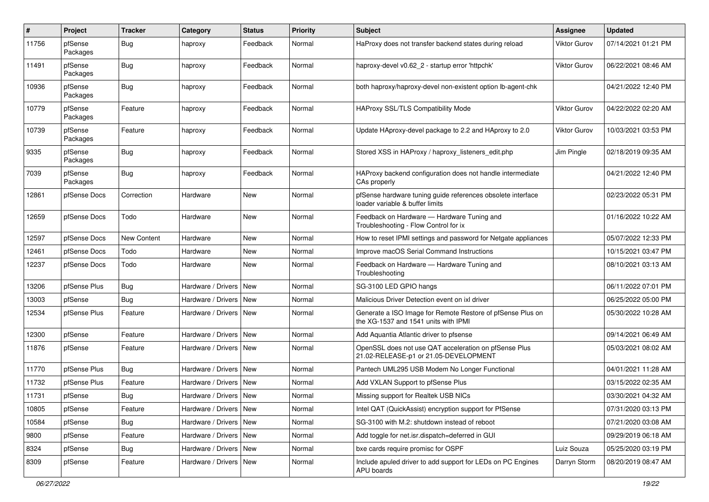| #     | Project             | <b>Tracker</b>     | Category                 | <b>Status</b> | <b>Priority</b> | <b>Subject</b>                                                                                     | <b>Assignee</b> | <b>Updated</b>      |
|-------|---------------------|--------------------|--------------------------|---------------|-----------------|----------------------------------------------------------------------------------------------------|-----------------|---------------------|
| 11756 | pfSense<br>Packages | <b>Bug</b>         | haproxy                  | Feedback      | Normal          | HaProxy does not transfer backend states during reload                                             | Viktor Gurov    | 07/14/2021 01:21 PM |
| 11491 | pfSense<br>Packages | <b>Bug</b>         | haproxy                  | Feedback      | Normal          | haproxy-devel v0.62 2 - startup error 'httpchk'                                                    | Viktor Gurov    | 06/22/2021 08:46 AM |
| 10936 | pfSense<br>Packages | <b>Bug</b>         | haproxy                  | Feedback      | Normal          | both haproxy/haproxy-devel non-existent option lb-agent-chk                                        |                 | 04/21/2022 12:40 PM |
| 10779 | pfSense<br>Packages | Feature            | haproxy                  | Feedback      | Normal          | HAProxy SSL/TLS Compatibility Mode                                                                 | Viktor Gurov    | 04/22/2022 02:20 AM |
| 10739 | pfSense<br>Packages | Feature            | haproxy                  | Feedback      | Normal          | Update HAproxy-devel package to 2.2 and HAproxy to 2.0                                             | Viktor Gurov    | 10/03/2021 03:53 PM |
| 9335  | pfSense<br>Packages | Bug                | haproxy                  | Feedback      | Normal          | Stored XSS in HAProxy / haproxy listeners edit.php                                                 | Jim Pingle      | 02/18/2019 09:35 AM |
| 7039  | pfSense<br>Packages | <b>Bug</b>         | haproxy                  | Feedback      | Normal          | HAProxy backend configuration does not handle intermediate<br>CAs properly                         |                 | 04/21/2022 12:40 PM |
| 12861 | pfSense Docs        | Correction         | Hardware                 | New           | Normal          | pfSense hardware tuning guide references obsolete interface<br>loader variable & buffer limits     |                 | 02/23/2022 05:31 PM |
| 12659 | pfSense Docs        | Todo               | Hardware                 | <b>New</b>    | Normal          | Feedback on Hardware - Hardware Tuning and<br>Troubleshooting - Flow Control for ix                |                 | 01/16/2022 10:22 AM |
| 12597 | pfSense Docs        | <b>New Content</b> | Hardware                 | <b>New</b>    | Normal          | How to reset IPMI settings and password for Netgate appliances                                     |                 | 05/07/2022 12:33 PM |
| 12461 | pfSense Docs        | Todo               | Hardware                 | New           | Normal          | Improve macOS Serial Command Instructions                                                          |                 | 10/15/2021 03:47 PM |
| 12237 | pfSense Docs        | Todo               | Hardware                 | New           | Normal          | Feedback on Hardware - Hardware Tuning and<br>Troubleshooting                                      |                 | 08/10/2021 03:13 AM |
| 13206 | pfSense Plus        | Bug                | Hardware / Drivers       | New           | Normal          | SG-3100 LED GPIO hangs                                                                             |                 | 06/11/2022 07:01 PM |
| 13003 | pfSense             | Bug                | Hardware / Drivers       | New           | Normal          | Malicious Driver Detection event on ixl driver                                                     |                 | 06/25/2022 05:00 PM |
| 12534 | pfSense Plus        | Feature            | Hardware / Drivers       | New           | Normal          | Generate a ISO Image for Remote Restore of pfSense Plus on<br>the XG-1537 and 1541 units with IPMI |                 | 05/30/2022 10:28 AM |
| 12300 | pfSense             | Feature            | Hardware / Drivers       | <b>New</b>    | Normal          | Add Aquantia Atlantic driver to pfsense                                                            |                 | 09/14/2021 06:49 AM |
| 11876 | pfSense             | Feature            | Hardware / Drivers       | New           | Normal          | OpenSSL does not use QAT acceleration on pfSense Plus<br>21.02-RELEASE-p1 or 21.05-DEVELOPMENT     |                 | 05/03/2021 08:02 AM |
| 11770 | pfSense Plus        | Bug                | Hardware / Drivers       | <b>New</b>    | Normal          | Pantech UML295 USB Modem No Longer Functional                                                      |                 | 04/01/2021 11:28 AM |
| 11732 | pfSense Plus        | Feature            | Hardware / Drivers       | New           | Normal          | Add VXLAN Support to pfSense Plus                                                                  |                 | 03/15/2022 02:35 AM |
| 11731 | pfSense             | <b>Bug</b>         | Hardware / Drivers   New |               | Normal          | Missing support for Realtek USB NICs                                                               |                 | 03/30/2021 04:32 AM |
| 10805 | pfSense             | Feature            | Hardware / Drivers   New |               | Normal          | Intel QAT (QuickAssist) encryption support for PfSense                                             |                 | 07/31/2020 03:13 PM |
| 10584 | pfSense             | Bug                | Hardware / Drivers   New |               | Normal          | SG-3100 with M.2: shutdown instead of reboot                                                       |                 | 07/21/2020 03:08 AM |
| 9800  | pfSense             | Feature            | Hardware / Drivers New   |               | Normal          | Add toggle for net.isr.dispatch=deferred in GUI                                                    |                 | 09/29/2019 06:18 AM |
| 8324  | pfSense             | <b>Bug</b>         | Hardware / Drivers   New |               | Normal          | bxe cards require promisc for OSPF                                                                 | Luiz Souza      | 05/25/2020 03:19 PM |
| 8309  | pfSense             | Feature            | Hardware / Drivers   New |               | Normal          | Include apuled driver to add support for LEDs on PC Engines<br>APU boards                          | Darryn Storm    | 08/20/2019 08:47 AM |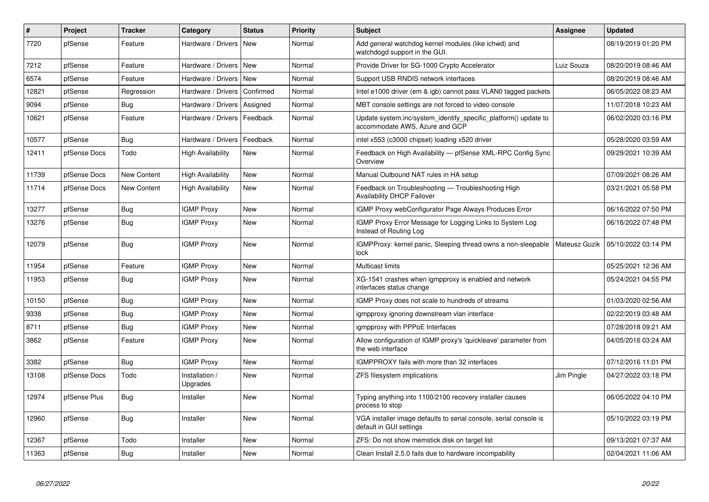| #     | Project      | <b>Tracker</b> | Category                   | <b>Status</b> | <b>Priority</b> | <b>Subject</b>                                                                                    | <b>Assignee</b> | <b>Updated</b>      |
|-------|--------------|----------------|----------------------------|---------------|-----------------|---------------------------------------------------------------------------------------------------|-----------------|---------------------|
| 7720  | pfSense      | Feature        | Hardware / Drivers         | <b>New</b>    | Normal          | Add general watchdog kernel modules (like ichwd) and<br>watchdogd support in the GUI.             |                 | 08/19/2019 01:20 PM |
| 7212  | pfSense      | Feature        | Hardware / Drivers         | New           | Normal          | Provide Driver for SG-1000 Crypto Accelerator                                                     | Luiz Souza      | 08/20/2019 08:46 AM |
| 6574  | pfSense      | Feature        | Hardware / Drivers         | New           | Normal          | Support USB RNDIS network interfaces                                                              |                 | 08/20/2019 08:46 AM |
| 12821 | pfSense      | Regression     | Hardware / Drivers         | l Confirmed   | Normal          | Intel e1000 driver (em & igb) cannot pass VLAN0 tagged packets                                    |                 | 06/05/2022 08:23 AM |
| 9094  | pfSense      | <b>Bug</b>     | Hardware / Drivers         | Assigned      | Normal          | MBT console settings are not forced to video console                                              |                 | 11/07/2018 10:23 AM |
| 10621 | pfSense      | Feature        | Hardware / Drivers         | l Feedback    | Normal          | Update system.inc/system identify specific platform() update to<br>accommodate AWS, Azure and GCP |                 | 06/02/2020 03:16 PM |
| 10577 | pfSense      | <b>Bug</b>     | Hardware / Drivers         | Feedback      | Normal          | intel x553 (c3000 chipset) loading x520 driver                                                    |                 | 05/28/2020 03:59 AM |
| 12411 | pfSense Docs | Todo           | <b>High Availability</b>   | <b>New</b>    | Normal          | Feedback on High Availability — pfSense XML-RPC Config Sync<br>Overview                           |                 | 09/29/2021 10:39 AM |
| 11739 | pfSense Docs | New Content    | <b>High Availability</b>   | New           | Normal          | Manual Outbound NAT rules in HA setup                                                             |                 | 07/09/2021 08:26 AM |
| 11714 | pfSense Docs | New Content    | <b>High Availability</b>   | <b>New</b>    | Normal          | Feedback on Troubleshooting - Troubleshooting High<br><b>Availability DHCP Failover</b>           |                 | 03/21/2021 05:58 PM |
| 13277 | pfSense      | <b>Bug</b>     | <b>IGMP Proxy</b>          | New           | Normal          | IGMP Proxy webConfigurator Page Always Produces Error                                             |                 | 06/16/2022 07:50 PM |
| 13276 | pfSense      | <b>Bug</b>     | <b>IGMP Proxy</b>          | New           | Normal          | IGMP Proxy Error Message for Logging Links to System Log<br>Instead of Routing Log                |                 | 06/16/2022 07:48 PM |
| 12079 | pfSense      | Bug            | <b>IGMP Proxy</b>          | <b>New</b>    | Normal          | IGMPProxy: kernel panic, Sleeping thread owns a non-sleepable<br>lock                             | Mateusz Guzik   | 05/10/2022 03:14 PM |
| 11954 | pfSense      | Feature        | <b>IGMP Proxy</b>          | New           | Normal          | Multicast limits                                                                                  |                 | 05/25/2021 12:36 AM |
| 11953 | pfSense      | <b>Bug</b>     | <b>IGMP Proxy</b>          | <b>New</b>    | Normal          | XG-1541 crashes when igmpproxy is enabled and network<br>interfaces status change                 |                 | 05/24/2021 04:55 PM |
| 10150 | pfSense      | <b>Bug</b>     | <b>IGMP Proxy</b>          | New           | Normal          | IGMP Proxy does not scale to hundreds of streams                                                  |                 | 01/03/2020 02:56 AM |
| 9338  | pfSense      | <b>Bug</b>     | <b>IGMP Proxy</b>          | <b>New</b>    | Normal          | igmpproxy ignoring downstream vlan interface                                                      |                 | 02/22/2019 03:48 AM |
| 8711  | pfSense      | <b>Bug</b>     | <b>IGMP Proxy</b>          | New           | Normal          | igmpproxy with PPPoE Interfaces                                                                   |                 | 07/28/2018 09:21 AM |
| 3862  | pfSense      | Feature        | <b>IGMP Proxy</b>          | <b>New</b>    | Normal          | Allow configuration of IGMP proxy's 'quickleave' parameter from<br>the web interface              |                 | 04/05/2016 03:24 AM |
| 3382  | pfSense      | <b>Bug</b>     | <b>IGMP Proxy</b>          | <b>New</b>    | Normal          | IGMPPROXY fails with more than 32 interfaces                                                      |                 | 07/12/2016 11:01 PM |
| 13108 | pfSense Docs | Todo           | Installation /<br>Upgrades | New           | Normal          | ZFS filesystem implications                                                                       | Jim Pingle      | 04/27/2022 03:18 PM |
| 12974 | pfSense Plus | Bug            | Installer                  | <b>New</b>    | Normal          | Typing anything into 1100/2100 recovery installer causes<br>process to stop                       |                 | 06/05/2022 04:10 PM |
| 12960 | pfSense      | <b>Bug</b>     | Installer                  | <b>New</b>    | Normal          | VGA installer image defaults to serial console, serial console is<br>default in GUI settings      |                 | 05/10/2022 03:19 PM |
| 12367 | pfSense      | Todo           | Installer                  | <b>New</b>    | Normal          | ZFS: Do not show memstick disk on target list                                                     |                 | 09/13/2021 07:37 AM |
| 11363 | pfSense      | <b>Bug</b>     | Installer                  | New           | Normal          | Clean Install 2.5.0 fails due to hardware incompability                                           |                 | 02/04/2021 11:06 AM |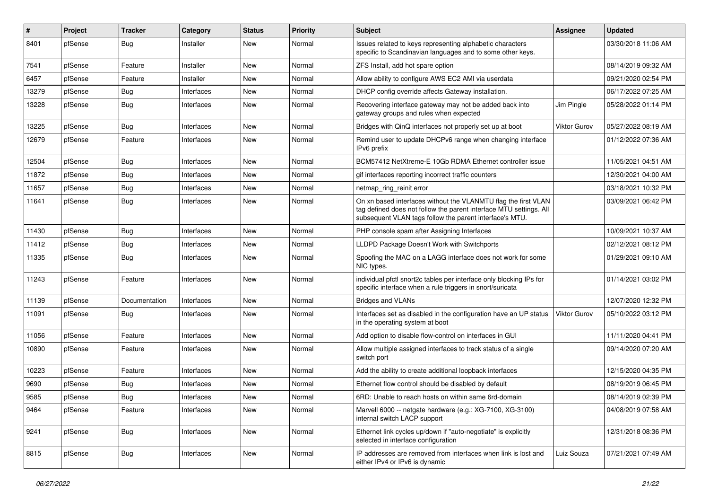| $\#$  | Project | <b>Tracker</b> | Category   | <b>Status</b> | Priority | Subject                                                                                                                                                                                         | <b>Assignee</b> | <b>Updated</b>      |
|-------|---------|----------------|------------|---------------|----------|-------------------------------------------------------------------------------------------------------------------------------------------------------------------------------------------------|-----------------|---------------------|
| 8401  | pfSense | <b>Bug</b>     | Installer  | New           | Normal   | Issues related to keys representing alphabetic characters<br>specific to Scandinavian languages and to some other keys.                                                                         |                 | 03/30/2018 11:06 AM |
| 7541  | pfSense | Feature        | Installer  | New           | Normal   | ZFS Install, add hot spare option                                                                                                                                                               |                 | 08/14/2019 09:32 AM |
| 6457  | pfSense | Feature        | Installer  | <b>New</b>    | Normal   | Allow ability to configure AWS EC2 AMI via userdata                                                                                                                                             |                 | 09/21/2020 02:54 PM |
| 13279 | pfSense | <b>Bug</b>     | Interfaces | <b>New</b>    | Normal   | DHCP config override affects Gateway installation.                                                                                                                                              |                 | 06/17/2022 07:25 AM |
| 13228 | pfSense | <b>Bug</b>     | Interfaces | New           | Normal   | Recovering interface gateway may not be added back into<br>gateway groups and rules when expected                                                                                               | Jim Pingle      | 05/28/2022 01:14 PM |
| 13225 | pfSense | Bug            | Interfaces | <b>New</b>    | Normal   | Bridges with QinQ interfaces not properly set up at boot                                                                                                                                        | Viktor Gurov    | 05/27/2022 08:19 AM |
| 12679 | pfSense | Feature        | Interfaces | New           | Normal   | Remind user to update DHCPv6 range when changing interface<br>IPv6 prefix                                                                                                                       |                 | 01/12/2022 07:36 AM |
| 12504 | pfSense | <b>Bug</b>     | Interfaces | New           | Normal   | BCM57412 NetXtreme-E 10Gb RDMA Ethernet controller issue                                                                                                                                        |                 | 11/05/2021 04:51 AM |
| 11872 | pfSense | Bug            | Interfaces | <b>New</b>    | Normal   | gif interfaces reporting incorrect traffic counters                                                                                                                                             |                 | 12/30/2021 04:00 AM |
| 11657 | pfSense | <b>Bug</b>     | Interfaces | <b>New</b>    | Normal   | netmap_ring_reinit error                                                                                                                                                                        |                 | 03/18/2021 10:32 PM |
| 11641 | pfSense | <b>Bug</b>     | Interfaces | New           | Normal   | On xn based interfaces without the VLANMTU flag the first VLAN<br>tag defined does not follow the parent interface MTU settings. All<br>subsequent VLAN tags follow the parent interface's MTU. |                 | 03/09/2021 06:42 PM |
| 11430 | pfSense | <b>Bug</b>     | Interfaces | New           | Normal   | PHP console spam after Assigning Interfaces                                                                                                                                                     |                 | 10/09/2021 10:37 AM |
| 11412 | pfSense | <b>Bug</b>     | Interfaces | <b>New</b>    | Normal   | LLDPD Package Doesn't Work with Switchports                                                                                                                                                     |                 | 02/12/2021 08:12 PM |
| 11335 | pfSense | Bug            | Interfaces | New           | Normal   | Spoofing the MAC on a LAGG interface does not work for some<br>NIC types.                                                                                                                       |                 | 01/29/2021 09:10 AM |
| 11243 | pfSense | Feature        | Interfaces | <b>New</b>    | Normal   | individual pfctl snort2c tables per interface only blocking IPs for<br>specific interface when a rule triggers in snort/suricata                                                                |                 | 01/14/2021 03:02 PM |
| 11139 | pfSense | Documentation  | Interfaces | <b>New</b>    | Normal   | <b>Bridges and VLANs</b>                                                                                                                                                                        |                 | 12/07/2020 12:32 PM |
| 11091 | pfSense | <b>Bug</b>     | Interfaces | <b>New</b>    | Normal   | Interfaces set as disabled in the configuration have an UP status<br>in the operating system at boot                                                                                            | Viktor Gurov    | 05/10/2022 03:12 PM |
| 11056 | pfSense | Feature        | Interfaces | <b>New</b>    | Normal   | Add option to disable flow-control on interfaces in GUI                                                                                                                                         |                 | 11/11/2020 04:41 PM |
| 10890 | pfSense | Feature        | Interfaces | <b>New</b>    | Normal   | Allow multiple assigned interfaces to track status of a single<br>switch port                                                                                                                   |                 | 09/14/2020 07:20 AM |
| 10223 | pfSense | Feature        | Interfaces | <b>New</b>    | Normal   | Add the ability to create additional loopback interfaces                                                                                                                                        |                 | 12/15/2020 04:35 PM |
| 9690  | pfSense | <b>Bug</b>     | Interfaces | New           | Normal   | Ethernet flow control should be disabled by default                                                                                                                                             |                 | 08/19/2019 06:45 PM |
| 9585  | pfSense | <b>Bug</b>     | Interfaces | New           | Normal   | 6RD: Unable to reach hosts on within same 6rd-domain                                                                                                                                            |                 | 08/14/2019 02:39 PM |
| 9464  | pfSense | Feature        | Interfaces | New           | Normal   | Marvell 6000 -- netgate hardware (e.g.: XG-7100, XG-3100)<br>internal switch LACP support                                                                                                       |                 | 04/08/2019 07:58 AM |
| 9241  | pfSense | Bug            | Interfaces | New           | Normal   | Ethernet link cycles up/down if "auto-negotiate" is explicitly<br>selected in interface configuration                                                                                           |                 | 12/31/2018 08:36 PM |
| 8815  | pfSense | <b>Bug</b>     | Interfaces | New           | Normal   | IP addresses are removed from interfaces when link is lost and<br>either IPv4 or IPv6 is dynamic                                                                                                | Luiz Souza      | 07/21/2021 07:49 AM |